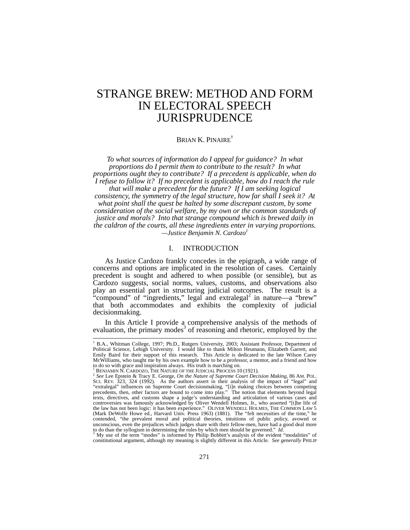# STRANGE BREW: METHOD AND FORM IN ELECTORAL SPEECH JURISPRUDENCE

## BRIAN K. PINAIRE†

*To what sources of information do I appeal for guidance? In what proportions do I permit them to contribute to the result? In what proportions ought they to contribute? If a precedent is applicable, when do I refuse to follow it? If no precedent is applicable, how do I reach the rule that will make a precedent for the future? If I am seeking logical consistency, the symmetry of the legal structure, how far shall I seek it? At what point shall the quest be halted by some discrepant custom, by some consideration of the social welfare, by my own or the common standards of justice and morals? Into that strange compound which is brewed daily in the caldron of the courts, all these ingredients enter in varying proportions. —Justice Benjamin N. Cardozo1*

# I. INTRODUCTION

As Justice Cardozo frankly concedes in the epigraph, a wide range of concerns and options are implicated in the resolution of cases. Certainly precedent is sought and adhered to when possible (or sensible), but as Cardozo suggests, social norms, values, customs, and observations also play an essential part in structuring judicial outcomes. The result is a "compound" of "ingredients," legal and extralegal<sup>2</sup> in nature—a "brew" that both accommodates and exhibits the complexity of judicial decisionmaking.

In this Article I provide a comprehensive analysis of the methods of evaluation, the primary modes<sup>3</sup> of reasoning and rhetoric, employed by the

 <sup>†</sup> B.A., Whitman College, 1997; Ph.D., Rutgers University, 2003; Assistant Professor, Department of Political Science, Lehigh University. I would like to thank Milton Heumann, Elizabeth Garrett, and Emily Baird for their support of this research. This Article is dedicated to the late Wilson Carey McWilliams, who taught me by his own example how to be a professor, a mentor, and a friend and how to do so with grace and inspiration always. His truth is marching on.<br><sup>1</sup> BENJAMIN N. CARDOZO, THE NATURE OF THE JUDICIAL PROCESS 10 (1921).

<sup>&</sup>lt;sup>2</sup> See Lee Epstein & Tracy E. George, *On the Nature of Supreme Court Decision Making*, 86 AM. POL. "extralegal" influences on Supreme Court decisionmaking, "[i]n making choices between competing precedents, then, other factors are bound to come into play." The notion that elements beyond legal<br>texts, directives, and customs shape a judge's understanding and articulation of various cases and<br>controversies was famou the law has not been logic: it has been experience." OLIVER WENDELL HOLMES, THE COMMON LAW 5 (Mark DeWolfe Howe ed., Harvard Univ. Press 1963) (1881). The "felt necessities of the time," he contended, "the prevalent moral and political theories, intuitions of public policy, avowed or unconscious, even the prejudices which judges share with their fellow-men, have had a good deal more to do than the syllogism in determining the rules by which men should be governed." *Id*.

My use of the term "modes" is informed by Philip Bobbitt's analysis of the evident "modalities" of constitutional argument, although my meaning is slightly different in this Article. *See generally* PHILIP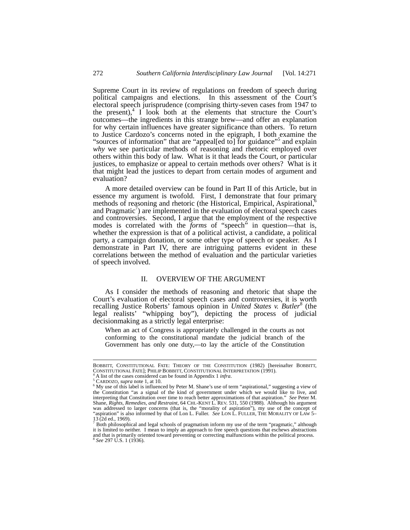Supreme Court in its review of regulations on freedom of speech during political campaigns and elections. In this assessment of the Court's electoral speech jurisprudence (comprising thirty-seven cases from 1947 to the present), $4$  I look both at the elements that structure the Court's outcomes—the ingredients in this strange brew—and offer an explanation for why certain influences have greater significance than others. To return to Justice Cardozo's concerns noted in the epigraph, I both examine the "sources of information" that are "appeal[ed to] for guidance"<sup>5</sup> and explain *why* we see particular methods of reasoning and rhetoric employed over others within this body of law. What is it that leads the Court, or particular justices, to emphasize or appeal to certain methods over others? What is it that might lead the justices to depart from certain modes of argument and evaluation?

A more detailed overview can be found in Part II of this Article, but in essence my argument is twofold. First, I demonstrate that four primary methods of reasoning and rhetoric (the Historical, Empirical, Aspirational,<sup>6</sup> and Pragmatic $\alpha$ ) are implemented in the evaluation of electoral speech cases and controversies. Second, I argue that the employment of the respective modes is correlated with the *forms* of "speech" in question—that is, whether the expression is that of a political activist, a candidate, a political party, a campaign donation, or some other type of speech or speaker. As I demonstrate in Part IV, there are intriguing patterns evident in these correlations between the method of evaluation and the particular varieties of speech involved.

# II. OVERVIEW OF THE ARGUMENT

As I consider the methods of reasoning and rhetoric that shape the Court's evaluation of electoral speech cases and controversies, it is worth recalling Justice Roberts' famous opinion in *United States v. Butler*<sup>8</sup> (the legal realists' "whipping boy"), depicting the process of judicial decisionmaking as a strictly legal enterprise:

When an act of Congress is appropriately challenged in the courts as not conforming to the constitutional mandate the judicial branch of the Government has only one duty,—to lay the article of the Constitution

BOBBITT, CONSTITUTIONAL FATE: THEORY OF THE CONSTITUTION (1982) [hereinafter BOBBITT, CONSTITUTIONAL FATE]; PHILIP BOBBITT, CONSTITUTIONAL INTERPRETATION (1991). 4

A list of the cases considered can be found in Appendix 1 *infra*. 5

CARDOZO, *supra* note 1, at 10. 6

 $\alpha$ <sup>6</sup> My use of this label is influenced by Peter M. Shane's use of term "aspirational," suggesting a view of the Constitution "as a signal of the kind of government under which we would like to live, and interpreting that Constitution over time to reach better approximations of that aspiration." *See* Peter M. Shane, *Rights, Remedies, and Restraint*, 64 CHI.-KENT L. REV. 531, 550 (1988). Although his argument was addressed to larger concerns (that is, the "morality of aspiration"), my use of the concept of "aspiration" is also informed by that of Lon L. Fuller. *See* LON L. FULLER, THE MORALITY OF LAW 5–  $^{13}$  (2d ed., 1969).

Both philosophical and legal schools of pragmatism inform my use of the term "pragmatic," although it is limited to neither. I mean to imply an approach to free speech questions that eschews abstractions and that is primarily oriented toward preventing or correcting malfunctions within the political process. <sup>8</sup> *See* 297 U.S. 1 (1936).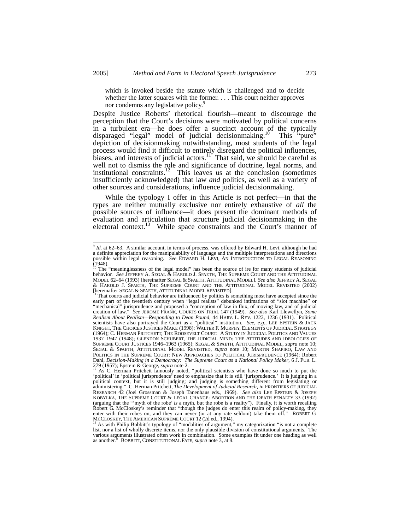which is invoked beside the statute which is challenged and to decide whether the latter squares with the former. . . . This court neither approves nor condemns any legislative policy.<sup>9</sup>

Despite Justice Roberts' rhetorical flourish—meant to discourage the perception that the Court's decisions were motivated by political concerns in a turbulent era—he does offer a succinct account of the typically disparaged "legal" model of judicial decisionmaking.<sup>10</sup> This "pure" depiction of decisionmaking notwithstanding, most students of the legal process would find it difficult to entirely disregard the political influences, biases, and interests of judicial actors.<sup>11</sup> That said, we should be careful as well not to dismiss the role and significance of doctrine, legal norms, and institutional constraints.<sup>12</sup> This leaves us at the conclusion (sometimes insufficiently acknowledged) that law *and* politics, as well as a variety of other sources and considerations, influence judicial decisionmaking.

While the typology I offer in this Article is not perfect—in that the types are neither mutually exclusive nor entirely exhaustive of *all* the possible sources of influence—it does present the dominant methods of evaluation and articulation that structure judicial decisionmaking in the electoral context.<sup>13</sup> While space constraints and the Court's manner of

 <sup>9</sup> *Id.* at 62–63. A similar account, in terms of process, was offered by Edward H. Levi, although he had a definite appreciation for the manipulability of language and the multiple interpretations and directions possible within legal reasoning. *See* EDWARD H. LEVI, AN INTRODUCTION TO LEGAL REASONING  $(1948)$ .

<sup>&</sup>lt;sup>10</sup> The "meaninglessness of the legal model" has been the source of ire for many students of judicial behavior. *See* JEFFREY A. SEGAL & HAROLD J. SPAETH, THE SUPREME COURT AND THE ATTITUDINAL MODEL 62–64 (1993) [hereinafter SEGAL & SPAETH, ATTITUDINAL MODEL]. *See also* JEFFREY A. SEGAL & HAROLD J. SPAETH, THE SUPREME COURT AND THE ATTITUDINAL MODEL REVISITED (2002) [hereinafter SEGAL & SPAETH, ATTITUDINAL MODEL REVISITED].<br><sup>11</sup> That courts and judicial behavior are influenced by politics is something most have accepted since the

early part of the twentieth century when "legal realists" debunked intimations of "slot machine" or "mechanical" jurisprudence and proposed a "conception of law in flux, of moving law, and of judicial creation of law." *See* JEROME FRANK, COURTS ON TRIAL 147 (1949). *See also* Karl Llewellyn, *Some Realism About Realism—Responding to Dean Pound*, 44 HARV. L. REV. 1222, 1236 (1931). Political scientists have also portrayed the Court as a "political" institution. *See, e.g.*, LEE EPSTEIN & JACK KNIGHT, THE CHOICES JUSTICES MAKE (1998); WALTER F. MURPHY, ELEMENTS OF JUDICIAL STRATEGY (1964); C. HERMAN PRITCHETT, THE ROOSEVELT COURT: A STUDY IN JUDICIAL POLITICS AND VALUES 1937–1947 (1948); GLENDON SCHUBERT, THE JUDICIAL MIND: THE ATTITUDES AND IDEOLOGIES OF SUPREME COURT JUSTICES 1946–1963 (1965); SEGAL & SPAETH, ATTITUDINAL MODEL, *supra* note 10; SEGAL & SPAETH, ATTITUDINAL MODEL REVISITED, *supra* note 10; MARTIN SHAPIRO, LAW AND POLITICS IN THE SUPREME COURT: NEW APPROACHES TO POLITICAL JURISPRUDENCE (1964); Robert Dahl, *Decision-Making in a Democracy: The Supreme Court as a National Policy Maker*, 6 J. PUB. L. 279 (1957); Epstein & George, *supra* note 2.<br><sup>12</sup> As C. Herman Pritchett famously noted, "political scientists who have done so much to put the

<sup>&#</sup>x27;political' in 'political jurisprudence' need to emphasize that it is still 'jurisprudence.' It is judging in a political context, but it is still judging; and judging is something different from legislating or administering." C. Herman Pritchett, *The Development of Judicial Research*, *in* FRONTIERS OF JUDICIAL RESEARCH 42 (Joel Grossman & Joseph Tanenhaus eds., 1969). *See also* LEE EPSTEIN & JOSEPH KOBYLKA, THE SUPREME COURT & LEGAL CHANGE: ABORTION AND THE DEATH PENALTY 33 (1992) (arguing that the "'myth of the robe' *is* a myth, but the robe is a reality"). Finally, it is worth recalling Robert G. McCloskey's reminder that "though the judges do enter this realm of policy-making, they enter with their robes on, and they can never (or at any rate seldom) take them off." ROBERT G.<br>MCCLOSKEY, THE AMERICAN SUPREME COURT 12 (2d ed., 1994).<br><sup>13</sup> As with Philip Bobbitt's typology of "modalities of argument," m

list, nor a list of wholly discrete items, nor the only plausible division of constitutional arguments. The various arguments illustrated often work in combination. Some examples fit under one heading as well as another." BOBBITT, CONSTITUTIONAL FATE, *supra* note 3, at 8.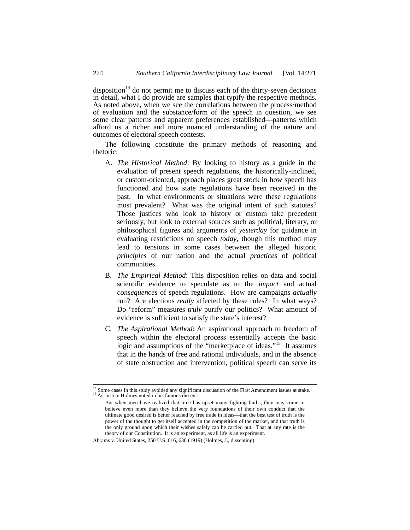disposition<sup>14</sup> do not permit me to discuss each of the thirty-seven decisions in detail, what I do provide are samples that typify the respective methods. As noted above, when we see the correlations between the process/method of evaluation and the substance/form of the speech in question, we see some clear patterns and apparent preferences established—patterns which afford us a richer and more nuanced understanding of the nature and outcomes of electoral speech contests.

The following constitute the primary methods of reasoning and rhetoric:

- A. *The Historical Method*: By looking to history as a guide in the evaluation of present speech regulations, the historically-inclined, or custom-oriented, approach places great stock in how speech has functioned and how state regulations have been received in the past. In what environments or situations were these regulations most prevalent? What was the original intent of such statutes? Those justices who look to history or custom take precedent seriously, but look to external sources such as political, literary, or philosophical figures and arguments of *yesterday* for guidance in evaluating restrictions on speech *today*, though this method may lead to tensions in some cases between the alleged historic *principles* of our nation and the actual *practices* of political communities.
- B. *The Empirical Method*: This disposition relies on data and social scientific evidence to speculate as to the *impact* and actual *consequences* of speech regulations. How are campaigns *actually* run? Are elections *really* affected by these rules? In what ways? Do "reform" measures *truly* purify our politics? What amount of evidence is sufficient to satisfy the state's interest?
- C. *The Aspirational Method*: An aspirational approach to freedom of speech within the electoral process essentially accepts the basic logic and assumptions of the "marketplace of ideas."<sup>15</sup> It assumes that in the hands of free and rational individuals, and in the absence of state obstruction and intervention, political speech can serve its

<sup>&</sup>lt;sup>14</sup> Some cases in this study avoided any significant discussion of the First Amendment issues at stake. <sup>15</sup> As Justice Holmes noted in his famous dissent:

But when men have realized that time has upset many fighting faiths, they may come to believe even more than they believe the very foundations of their own conduct that the ultimate good desired is better reached by free trade in ideas—that the best test of truth is the power of the thought to get itself accepted in the competition of the market, and that truth is the only ground upon which their wishes safely can be carried out. That at any rate is the theory of our Constitution. It is an experiment, as all life is an experiment.

Abrams v. United States, 250 U.S. 616, 630 (1919) (Holmes, J., dissenting).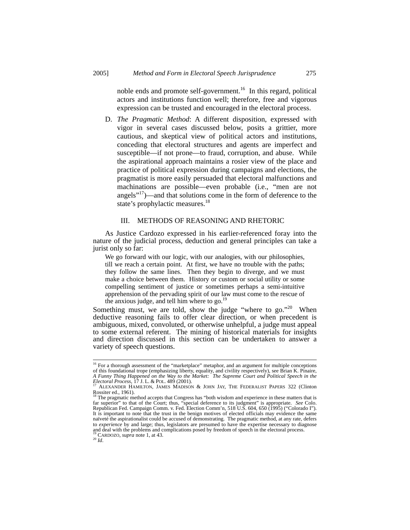noble ends and promote self-government.<sup>16</sup> In this regard, political actors and institutions function well; therefore, free and vigorous expression can be trusted and encouraged in the electoral process.

D. *The Pragmatic Method*: A different disposition, expressed with vigor in several cases discussed below, posits a grittier, more cautious, and skeptical view of political actors and institutions, conceding that electoral structures and agents are imperfect and susceptible—if not prone—to fraud, corruption, and abuse. While the aspirational approach maintains a rosier view of the place and practice of political expression during campaigns and elections, the pragmatist is more easily persuaded that electoral malfunctions and machinations are possible—even probable (i.e., "men are not angels"17)—and that solutions come in the form of deference to the state's prophylactic measures.<sup>18</sup>

# III. METHODS OF REASONING AND RHETORIC

As Justice Cardozo expressed in his earlier-referenced foray into the nature of the judicial process, deduction and general principles can take a jurist only so far:

We go forward with our logic, with our analogies, with our philosophies, till we reach a certain point. At first, we have no trouble with the paths; they follow the same lines. Then they begin to diverge, and we must make a choice between them. History or custom or social utility or some compelling sentiment of justice or sometimes perhaps a semi-intuitive apprehension of the pervading spirit of our law must come to the rescue of the anxious judge, and tell him where to go. $^{19}$ 

Something must, we are told, show the judge "where to go."<sup>20</sup> When deductive reasoning fails to offer clear direction, or when precedent is ambiguous, mixed, convoluted, or otherwise unhelpful, a judge must appeal to some external referent. The mining of historical materials for insights and direction discussed in this section can be undertaken to answer a variety of speech questions.

<sup>&</sup>lt;sup>16</sup> For a thorough assessment of the "marketplace" metaphor, and an argument for multiple conceptions of this foundational trope (emphasizing liberty, equality, and civility respectively), see Brian K. Pinaire, *A Funny Thing Happened on the Way to the Market: The Supreme Court and Political Speech in the Electoral Process*, 17 J. L. & POL. 489 (2001).<br>*Electoral Process*, 17 J. L. & POL. 489 (2001).<br><sup>17</sup> ALEXANDER HAMILTON, JAMES MADISON & JOHN JAY, THE FEDERALIST PAPERS 322 (Clinton

Rossiter ed., 1961).<br><sup>18</sup> The pragmatic method accepts that Congress has "both wisdom and experience in these matters that is

far superior" to that of the Court; thus, "special deference to its judgment" is appropriate. *See* Colo. Republican Fed. Campaign Comm. v. Fed. Election Comm'n, 518 U.S. 604, 650 (1995) ("Colorado I"). It is important to note that the trust in the benign motives of elected officials may evidence the same naïveté the aspirationalist could be accused of demonstrating. The pragmatic method, at any rate, defers to *experience* by and large; thus, legislators are presumed to have the expertise necessary to diagnose and deal with the problems and complications posed by freedom of speech in the electoral process.<br><sup>19</sup> CARDOZO, *supra* note 1, at 43. <sup>20</sup> *Id*.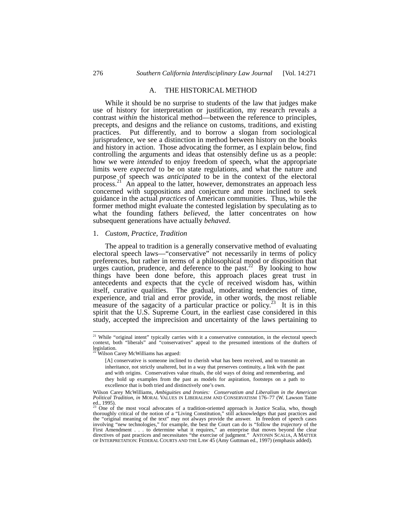### A. THE HISTORICAL METHOD

While it should be no surprise to students of the law that judges make use of history for interpretation or justification, my research reveals a contrast *within* the historical method—between the reference to principles, precepts, and designs and the reliance on customs, traditions, and existing practices. Put differently, and to borrow a slogan from sociological jurisprudence, we see a distinction in method between history on the books and history in action. Those advocating the former, as I explain below, find controlling the arguments and ideas that ostensibly define us as a people: how we were *intended* to enjoy freedom of speech, what the appropriate limits were *expected* to be on state regulations, and what the nature and purpose of speech was *anticipated* to be in the context of the electoral process.<sup>21</sup> An appeal to the latter, however, demonstrates an approach less concerned with suppositions and conjecture and more inclined to seek guidance in the actual *practices* of American communities. Thus, while the former method might evaluate the contested legislation by speculating as to what the founding fathers *believed*, the latter concentrates on how subsequent generations have actually *behaved*.

#### 1. *Custom, Practice, Tradition*

The appeal to tradition is a generally conservative method of evaluating electoral speech laws—"conservative" not necessarily in terms of policy preferences, but rather in terms of a philosophical mood or disposition that urges caution, prudence, and deference to the past.<sup>22</sup> By looking to how things have been done before, this approach places great trust in antecedents and expects that the cycle of received wisdom has, within itself, curative qualities. The gradual, moderating tendencies of time, experience, and trial and error provide, in other words, the most reliable measure of the sagacity of a particular practice or policy.<sup>23</sup> It is in this spirit that the U.S. Supreme Court, in the earliest case considered in this study, accepted the imprecision and uncertainty of the laws pertaining to

<sup>&</sup>lt;sup>21</sup> While "original intent" typically carries with it a conservative connotation, in the electoral speech context, both "liberals" and "conservatives" appeal to the presumed intentions of the drafters of legislation. 22 Wilson Carey McWilliams has argued:

<sup>[</sup>A] conservative is someone inclined to cherish what has been received, and to transmit an inheritance, not strictly unaltered, but in a way that preserves continuity, a link with the past and with origins. Conservatives value rituals, the old ways of doing and remembering, and they hold up examples from the past as models for aspiration, footsteps on a path to excellence that is both tried and distinctively one's own.

Wilson Carey McWilliams, *Ambiguities and Ironies: Conservatism and Liberalism in the American Political Tradition*, *in* MORAL VALUES IN LIBERALISM AND CONSERVATISM 176–77 (W. Lawson Taitte ed., 1995).

One of the most vocal advocates of a tradition-oriented approach is Justice Scalia, who, though thoroughly critical of the notion of a "Living Constitution," still acknowledges that past practices and the "original meaning of the text" may not always provide the answer. In freedom of speech cases involving "new technologies," for example, the best the Court can do is "follow the *trajectory* of the First Amendment . . . to determine what it requires," an enterprise that moves beyond the clear directives of past practices and necessitates "the exercise of judgment." ANTONIN SCALIA, A MATTER OF INTERPRETATION: FEDERAL COURTS AND THE LAW 45 (Amy Guttman ed., 1997) (emphasis added).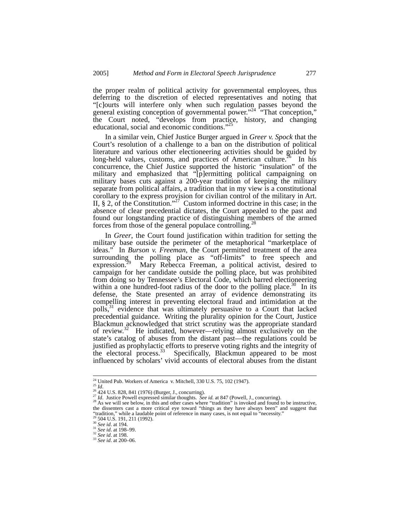the proper realm of political activity for governmental employees, thus deferring to the discretion of elected representatives and noting that "[c]ourts will interfere only when such regulation passes beyond the general existing conception of governmental power."<sup>24</sup> "That conception," the Court noted, "develops from practice, history, and changing educational, social and economic conditions."25

In a similar vein, Chief Justice Burger argued in *Greer v. Spock* that the Court's resolution of a challenge to a ban on the distribution of political literature and various other electioneering activities should be guided by long-held values, customs, and practices of American culture.<sup>26</sup> In his concurrence, the Chief Justice supported the historic "insulation" of the military and emphasized that "[p]ermitting political campaigning on military bases cuts against a 200-year tradition of keeping the military separate from political affairs, a tradition that in my view is a constitutional corollary to the express provision for civilian control of the military in Art. II,  $\S$  2, of the Constitution."<sup>27</sup> Custom informed doctrine in this case; in the absence of clear precedential dictates, the Court appealed to the past and found our longstanding practice of distinguishing members of the armed forces from those of the general populace controlling.<sup>2</sup>

In *Greer*, the Court found justification within tradition for setting the military base outside the perimeter of the metaphorical "marketplace of ideas." In *Burson v. Freeman*, the Court permitted treatment of the area surrounding the polling place as "off-limits" to free speech and expression.<sup>29</sup> Mary Rebecca Freeman, a political activist, desired to campaign for her candidate outside the polling place, but was prohibited from doing so by Tennessee's Electoral Code, which barred electioneering within a one hundred-foot radius of the door to the polling place. $30$  In its defense, the State presented an array of evidence demonstrating its compelling interest in preventing electoral fraud and intimidation at the polls,<sup>31</sup> evidence that was ultimately persuasive to a Court that lacked precedential guidance. Writing the plurality opinion for the Court, Justice Blackmun acknowledged that strict scrutiny was the appropriate standard of review.32 He indicated, however—relying almost exclusively on the state's catalog of abuses from the distant past—the regulations could be justified as prophylactic efforts to preserve voting rights and the integrity of the electoral process.<sup>33</sup> Specifically, Blackmun appeared to be most influenced by scholars' vivid accounts of electoral abuses from the distant

<sup>&</sup>lt;sup>24</sup> United Pub. Workers of America v. Mitchell, 330 U.S. 75, 102 (1947).<br><sup>25</sup> *Id.*<br><sup>26</sup> 424 U.S. 828, 841 (1976) (Burger, J., concurring).<br><sup>27</sup> *Id.* Justice Powell expressed similar thoughts. *See id.* at 847 (Powell, the dissenters cast a more critical eye toward "things as they have always been" and suggest that "tradition," while a laudable point of reference in many cases, is not equal to "necessity."<br><sup>29</sup> 504 U.S. 191, 211 (1992).

<sup>29 504</sup> U.S. 191, 211 (1992). 30 *See id*. at 194. 31 *See id*. at 198–99. 32 *See id*. at 198. 33 *See id*. at 200–06.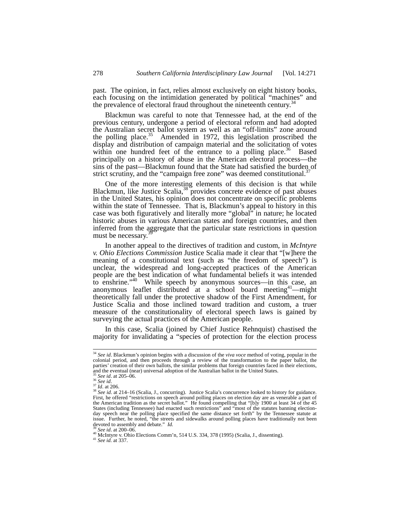past. The opinion, in fact, relies almost exclusively on eight history books, each focusing on the intimidation generated by political "machines" and the prevalence of electoral fraud throughout the nineteenth century.<sup>3</sup>

Blackmun was careful to note that Tennessee had, at the end of the previous century, undergone a period of electoral reform and had adopted the Australian secret ballot system as well as an "off-limits" zone around the polling place. $35$  Amended in 1972, this legislation proscribed the display and distribution of campaign material and the solicitation of votes within one hundred feet of the entrance to a polling place.<sup>36</sup> Based principally on a history of abuse in the American electoral process—the sins of the past—Blackmun found that the State had satisfied the burden of strict scrutiny, and the "campaign free zone" was deemed constitutional.<sup>3</sup>

One of the more interesting elements of this decision is that while Blackmun, like Justice Scalia,  $38$  provides concrete evidence of past abuses in the United States, his opinion does not concentrate on specific problems within the state of Tennessee. That is, Blackmun's appeal to history in this case was both figuratively and literally more "global" in nature; he located historic abuses in various American states and foreign countries, and then inferred from the aggregate that the particular state restrictions in question must be necessary.<sup>3</sup>

In another appeal to the directives of tradition and custom, in *McIntyre v. Ohio Elections Commission* Justice Scalia made it clear that "[w]here the meaning of a constitutional text (such as "the freedom of speech") is unclear, the widespread and long-accepted practices of the American people are the best indication of what fundamental beliefs it was intended to enshrine."<sup>40</sup> While speech by anonymous sources—in this case, an anonymous leaflet distributed at a school board meeting<sup>41</sup>—might theoretically fall under the protective shadow of the First Amendment, for Justice Scalia and those inclined toward tradition and custom, a truer measure of the constitutionality of electoral speech laws is gained by surveying the actual practices of the American people.

In this case, Scalia (joined by Chief Justice Rehnquist) chastised the majority for invalidating a "species of protection for the election process

 <sup>34</sup> *See id*. Blackmun's opinion begins with a discussion of the *viva voce* method of voting, popular in the colonial period, and then proceeds through a review of the transformation to the paper ballot, the parties' creation of their own ballots, the similar problems that foreign countries faced in their elections, and the eventual (near) universal adoption of the Australian ballot in the United States.

 $\frac{35}{36}$  See id. at 205-06.<br>  $\frac{36}{37}$  Id. at 206.<br>  $\frac{37}{38}$  Id. at 206.<br>  $\frac{37}{38}$  Id. at 214-16 (Scalia, J., concurring). Justice Scalia's concurrence looked to history for guidance. First, he offered "restrictions on speech around polling places on election day are as venerable a part of the American tradition as the secret ballot." He found compelling that "[b]y 1900 at least 34 of the 45 States (including Tennessee) had enacted such restrictions" and "most of the statutes banning electionday speech near the polling place specified the same distance set forth" by the Tennessee statute at issue. Further, he noted, "the streets and sidewalks around polling places have traditionally not been devoted to assembly and debate." *Id.* 39 *See id.* at 200–06.<br><sup>40</sup> *See id.* at 200–06.<br><sup>40</sup> McIntyre v. Ohio Elections Comm'n, 514 U.S. 334, 378 (1995) (Scalia, J., dissenting).<br><sup>41</sup> *See id.* at 337.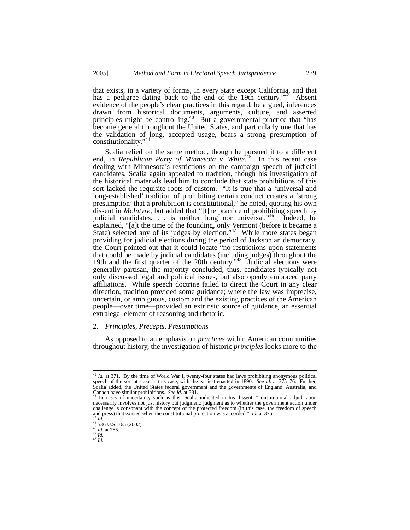that exists, in a variety of forms, in every state except California, and that has a pedigree dating back to the end of the 19th century."<sup>42</sup> Absent evidence of the people's clear practices in this regard, he argued, inferences drawn from historical documents, arguments, culture, and asserted principles might be controlling.<sup>43</sup> But a governmental practice that "has become general throughout the United States, and particularly one that has the validation of long, accepted usage, bears a strong presumption of constitutionality."

Scalia relied on the same method, though he pursued it to a different end, in *Republican Party of Minnesota* v. White.<sup>45</sup> In this recent case dealing with Minnesota's restrictions on the campaign speech of judicial candidates, Scalia again appealed to tradition, though his investigation of the historical materials lead him to conclude that state prohibitions of this sort lacked the requisite roots of custom. "It is true that a 'universal and long-established' tradition of prohibiting certain conduct creates a 'strong presumption' that a prohibition is constitutional," he noted, quoting his own dissent in *McIntyre*, but added that "[t]he practice of prohibiting speech by judicial candidates. . . is neither long nor universal."<sup>46</sup> Indeed, he explained, "[a]t the time of the founding, only Vermont (before it became a State) selected any of its judges by election."<sup>47</sup> While more states began providing for judicial elections during the period of Jacksonian democracy, the Court pointed out that it could locate "no restrictions upon statements that could be made by judicial candidates (including judges) throughout the 19th and the first quarter of the 20th century."48 Judicial elections were generally partisan, the majority concluded; thus, candidates typically not only discussed legal and political issues, but also openly embraced party affiliations. While speech doctrine failed to direct the Court in any clear direction, tradition provided some guidance; where the law was imprecise, uncertain, or ambiguous, custom and the existing practices of the American people—over time—provided an extrinsic source of guidance, an essential extralegal element of reasoning and rhetoric.

#### 2. *Principles, Precepts, Presumptions*

As opposed to an emphasis on *practices* within American communities throughout history, the investigation of historic *principles* looks more to the

 <sup>42</sup> *Id.* at 371. By the time of World War I, twenty-four states had laws prohibiting anonymous political speech of the sort at stake in this case, with the earliest enacted in 1890. *See id*. at 375–76. Further, Scalia added, the United States federal government and the governments of England, Australia, and  $\frac{1}{43}$  In cases of uncertainty such as this, Scalia indicated in his dissent, "constitutional adjudication"

necessarily involves not just history but judgment: judgment as to whether the government action under challenge is consonant with the concept of the protected freedom (in this case, the freedom of speech and press) that existed when the constitutional protection was accorded." *Id.* at 375.  $\frac{44}{10}$  *Id.* at 785.  $\frac{45}{10}$  *Id.* at 785.  $\frac{47}{10}$ .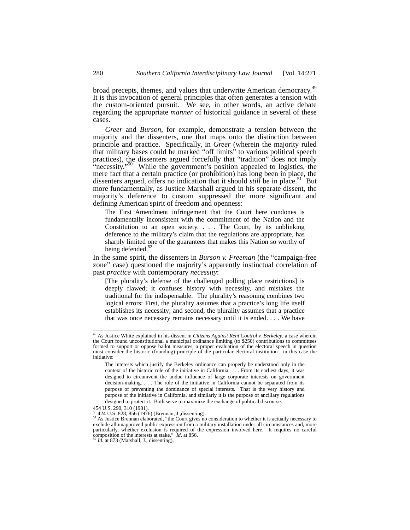broad precepts, themes, and values that underwrite American democracy.<sup>49</sup><br>It is this invocation of general principles that often generates a tension with the custom-oriented pursuit. We see, in other words, an active debate regarding the appropriate *manner* of historical guidance in several of these cases.

*Greer* and *Burson*, for example, demonstrate a tension between the majority and the dissenters, one that maps onto the distinction between principle and practice. Specifically, in *Greer* (wherein the majority ruled that military bases could be marked "off limits" to various political speech practices), the dissenters argued forcefully that "tradition" does not imply "necessity."<sup>50</sup> While the government's position appealed to logistics, the mere fact that a certain practice (or prohibition) has long been in place, the dissenters argued, offers no indication that it should *still* be in place.<sup>51</sup> But more fundamentally, as Justice Marshall argued in his separate dissent, the majority's deference to custom suppressed the more significant and defining American spirit of freedom and openness:

The First Amendment infringement that the Court here condones is fundamentally inconsistent with the commitment of the Nation and the Constitution to an open society. . . . The Court, by its unblinking deference to the military's claim that the regulations are appropriate, has sharply limited one of the guarantees that makes this Nation so worthy of being defended.<sup>52</sup>

In the same spirit, the dissenters in *Burson v. Freeman* (the "campaign-free zone" case) questioned the majority's apparently instinctual correlation of past *practice* with contemporary *necessity*:

[The plurality's defense of the challenged polling place restrictions] is deeply flawed; it confuses history with necessity, and mistakes the traditional for the indispensable. The plurality's reasoning combines two logical errors: First, the plurality assumes that a practice's long life itself establishes its necessity; and second, the plurality assumes that a practice that was once necessary remains necessary until it is ended. . . . We have

454 U.S. 290, 310 (1981).<br><sup>50</sup> 424 U.S. 828, 856 (1976) (Brennan, J.,dissenting).

 <sup>49</sup> As Justice White explained in his dissent in *Citizens Against Rent Control v. Berkeley*, a case wherein the Court found unconstitutional a municipal ordinance limiting (to \$250) contributions to committees formed to support or oppose ballot measures, a proper evaluation of the electoral speech in question must consider the historic (founding) principle of the particular electoral institution—in this case the initiative:

The interests which justify the Berkeley ordinance can properly be understood only in the context of the historic role of the initiative in California. . . . From its earliest days, it was designed to circumvent the undue influence of large corporate interests on government decision-making. . . . The role of the initiative in California cannot be separated from its purpose of preventing the dominance of special interests. That is the very history and purpose of the initiative in California, and similarly it is the purpose of ancillary regulations designed to protect it. Both serve to maximize the exchange of political discourse.

 $51$  As Justice Brennan elaborated, "the Court gives no consideration to whether it is actually necessary to  $\frac{1}{2}$ exclude all unapproved public expression from a military installation under all circumstances and, more particularly, whether exclusion is required of the expression involved here. It requires no careful composition of the interests at stake." *Id.* at 856. <sup>52</sup> *Id.* at 873 (Marshall, J., dissenting).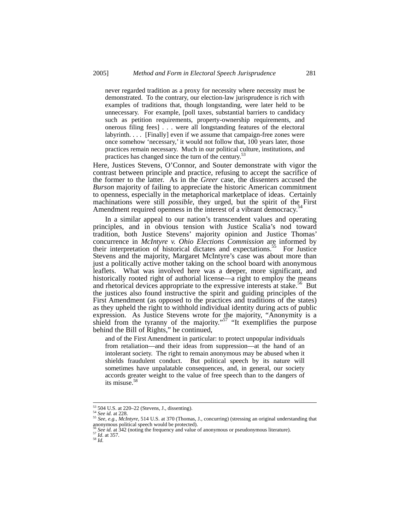never regarded tradition as a proxy for necessity where necessity must be demonstrated. To the contrary, our election-law jurisprudence is rich with examples of traditions that, though longstanding, were later held to be unnecessary. For example, [poll taxes, substantial barriers to candidacy such as petition requirements, property-ownership requirements, and onerous filing fees] . . . were all longstanding features of the electoral labyrinth. . . . [Finally] even if we assume that campaign-free zones were once somehow 'necessary,' it would not follow that, 100 years later, those practices remain necessary. Much in our political culture, institutions, and practices has changed since the turn of the century.<sup>53</sup>

Here, Justices Stevens, O'Connor, and Souter demonstrate with vigor the contrast between principle and practice, refusing to accept the sacrifice of the former to the latter. As in the *Greer* case, the dissenters accused the *Burson* majority of failing to appreciate the historic American commitment to openness, especially in the metaphorical marketplace of ideas. Certainly machinations were still *possible*, they urged, but the spirit of the First Amendment required openness in the interest of a vibrant democracy.<sup>5</sup>

In a similar appeal to our nation's transcendent values and operating principles, and in obvious tension with Justice Scalia's nod toward tradition, both Justice Stevens' majority opinion and Justice Thomas' concurrence in *McIntyre v. Ohio Elections Commission* are informed by their interpretation of historical dictates and expectations.<sup>55</sup> For Justice Stevens and the majority, Margaret McIntyre's case was about more than just a politically active mother taking on the school board with anonymous leaflets. What was involved here was a deeper, more significant, and historically rooted right of authorial license—a right to employ the means and rhetorical devices appropriate to the expressive interests at stake.<sup>56</sup> But the justices also found instructive the spirit and guiding principles of the First Amendment (as opposed to the practices and traditions of the states) as they upheld the right to withhold individual identity during acts of public expression. As Justice Stevens wrote for the majority, "Anonymity is a shield from the tyranny of the majority."<sup>57</sup> "It exemplifies the purpose behind the Bill of Rights," he continued,

and of the First Amendment in particular: to protect unpopular individuals from retaliation—and their ideas from suppression—at the hand of an intolerant society. The right to remain anonymous may be abused when it shields fraudulent conduct. But political speech by its nature will sometimes have unpalatable consequences, and, in general, our society accords greater weight to the value of free speech than to the dangers of its misuse.<sup>58</sup>

 <sup>53 504</sup> U.S. at 220–22 (Stevens, J., dissenting). 54 *See id.* at 228. 55 *See, e.g., McIntyre*, 514 U.S. at 370 (Thomas, J., concurring) (stressing an original understanding that anonymous political speech would be protected).

<sup>56</sup> *See id.* at 342 (noting the frequency and value of anonymous or pseudonymous literature). 57 *Id*. at 357. 58 *Id.*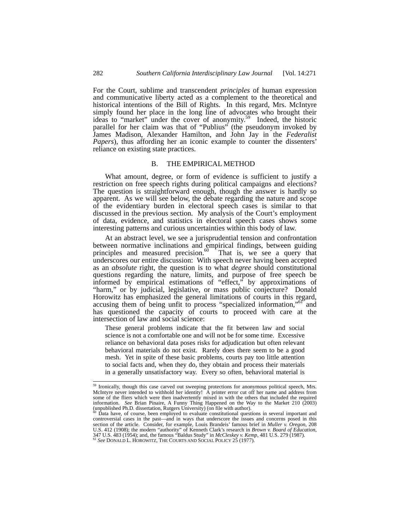For the Court, sublime and transcendent *principles* of human expression and communicative liberty acted as a complement to the theoretical and historical intentions of the Bill of Rights. In this regard, Mrs. McIntyre simply found her place in the long line of advocates who brought their ideas to "market" under the cover of anonymity.<sup>59</sup> Indeed, the historic parallel for her claim was that of "Publius" (the pseudonym invoked by James Madison, Alexander Hamilton, and John Jay in the *Federalist Papers*), thus affording her an iconic example to counter the dissenters' reliance on existing state practices.

#### B. THE EMPIRICAL METHOD

What amount, degree, or form of evidence is sufficient to justify a restriction on free speech rights during political campaigns and elections? The question is straightforward enough, though the answer is hardly so apparent. As we will see below, the debate regarding the nature and scope of the evidentiary burden in electoral speech cases is similar to that discussed in the previous section. My analysis of the Court's employment of data, evidence, and statistics in electoral speech cases shows some interesting patterns and curious uncertainties within this body of law.

At an abstract level, we see a jurisprudential tension and confrontation between normative inclinations and empirical findings, between guiding principles and measured precision.<sup>60</sup> That is, we see a query that principles and measured precision. $60$ underscores our entire discussion: With speech never having been accepted as an *absolute* right, the question is to what *degree* should constitutional questions regarding the nature, limits, and purpose of free speech be informed by empirical estimations of "effect," by approximations of "harm," or by judicial, legislative, or mass public conjecture? Donald Horowitz has emphasized the general limitations of courts in this regard, accusing them of being unfit to process "specialized information,"61 and has questioned the capacity of courts to proceed with care at the intersection of law and social science:

These general problems indicate that the fit between law and social science is not a comfortable one and will not be for some time. Excessive reliance on behavioral data poses risks for adjudication but often relevant behavioral materials do not exist. Rarely does there seem to be a good mesh. Yet in spite of these basic problems, courts pay too little attention to social facts and, when they do, they obtain and process their materials in a generally unsatisfactory way. Every so often, behavioral material is

<sup>&</sup>lt;sup>59</sup> Ironically, though this case carved out sweeping protections for anonymous political speech, Mrs. McIntyre never intended to withhold her identity! A printer error cut off her name and address from some of the fliers which were then inadvertently mixed in with the others that included the required information. *See* Brian Pinaire, A Funny Thing Happened on the Way to the Market 210 (2003) (unpublished Ph.D. dissertation, Rutgers University) (on file with author).

Data have, of course, been employed to evaluate constitutional questions in several important and controversial cases in the past—and in ways that underscore the issues and concerns posed in this section of the article. Consider, for example, Louis Brandeis' famous brief in *Muller v. Oregon*, 208 U.S. 412 (1908); the modern "authority" of Kenneth Clark's research in *Brown v. Board of Education*, 347 U.S. 483 (1954); and, the famous "Baldus Study" in *McCleskey v. Kemp*, 481 U.S. 279 (1987).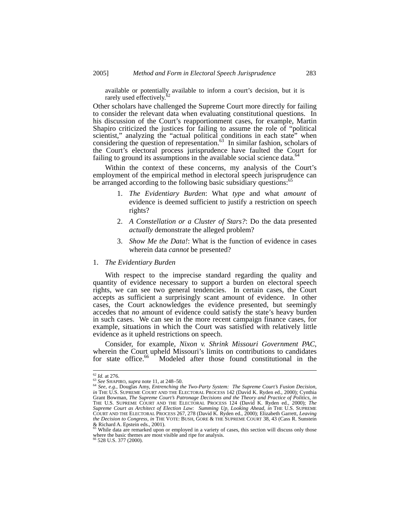available or potentially available to inform a court's decision, but it is rarely used effectively.<sup>6</sup>

Other scholars have challenged the Supreme Court more directly for failing to consider the relevant data when evaluating constitutional questions. In his discussion of the Court's reapportionment cases, for example, Martin Shapiro criticized the justices for failing to assume the role of "political scientist," analyzing the "actual political conditions in each state" when considering the question of representation.<sup>63</sup> In similar fashion, scholars of the Court's electoral process jurisprudence have faulted the Court for failing to ground its assumptions in the available social science data.<sup>64</sup>

Within the context of these concerns, my analysis of the Court's employment of the empirical method in electoral speech jurisprudence can be arranged according to the following basic subsidiary questions: $\alpha$ 

- 1. *The Evidentiary Burden*: What *type* and what *amount* of evidence is deemed sufficient to justify a restriction on speech rights?
- 2. *A Constellation or a Cluster of Stars?*: Do the data presented *actually* demonstrate the alleged problem?
- 3. *Show Me the Data!*: What is the function of evidence in cases wherein data *cannot* be presented?

#### 1. *The Evidentiary Burden*

With respect to the imprecise standard regarding the quality and quantity of evidence necessary to support a burden on electoral speech rights, we can see two general tendencies. In certain cases, the Court accepts as sufficient a surprisingly scant amount of evidence. In other cases, the Court acknowledges the evidence presented, but seemingly accedes that *no* amount of evidence could satisfy the state's heavy burden in such cases. We can see in the more recent campaign finance cases, for example, situations in which the Court was satisfied with relatively little evidence as it upheld restrictions on speech.

Consider, for example, *Nixon v. Shrink Missouri Government PAC*, wherein the Court upheld Missouri's limits on contributions to candidates for state office.<sup>66</sup> Modeled after those found constitutional in the Modeled after those found constitutional in the

<sup>62</sup> *Id.* at 276. 63 *See* SHAPIRO, *supra* note 11, at 248–50. 64 *See, e.g.*, Douglas Amy, *Entrenching the Two-Party System: The Supreme Court's Fusion Decision*, *in* THE U.S. SUPREME COURT AND THE ELECTORAL PROCESS 142 (David K. Ryden ed., 2000); Cynthia Grant Bowman, *The Supreme Court's Patronage Decisions and the Theory and Practice of Politics*, *in*  THE U.S. SUPREME COURT AND THE ELECTORAL PROCESS 124 (David K. Ryden ed., 2000); *The Supreme Court as Architect of Election Law: Summing Up, Looking Ahead*, *in* THE U.S. SUPREME COURT AND THE ELECTORAL PROCESS 267, 278 (David K. Ryden ed., 2000); Elizabeth Garrett, *Leaving the Decision to Congress*, *in* THE VOTE: BUSH, GORE & THE SUPREME COURT 38, 43 (Cass R. Sunstein & Richard A. Epstein eds., 2001). 65 While data are remarked upon or employed in a variety of cases, this section will discuss only those

where the basic themes are most visible and ripe for analysis. <sup>66</sup> 528 U.S. 377 (2000).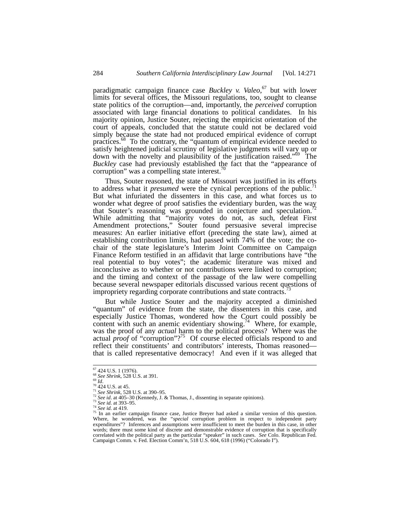paradigmatic campaign finance case *Buckley v. Valeo*, 67 but with lower limits for several offices, the Missouri regulations, too, sought to cleanse state politics of the corruption—and, importantly, the *perceived* corruption associated with large financial donations to political candidates. In his majority opinion, Justice Souter, rejecting the empiricist orientation of the court of appeals, concluded that the statute could not be declared void simply because the state had not produced empirical evidence of corrupt practices.<sup>68</sup> To the contrary, the "quantum of empirical evidence needed to satisfy heightened judicial scrutiny of legislative judgments will vary up or down with the novelty and plausibility of the justification raised."69 The *Buckley* case had previously established the fact that the "appearance of corruption" was a compelling state interest.

Thus, Souter reasoned, the state of Missouri was justified in its efforts to address what it *presumed* were the cynical perceptions of the public.<sup>7</sup> But what infuriated the dissenters in this case, and what forces us to wonder what degree of proof satisfies the evidentiary burden, was the way that Souter's reasoning was grounded in conjecture and speculation. While admitting that "majority votes do not, as such, defeat First Amendment protections," Souter found persuasive several imprecise measures: An earlier initiative effort (preceding the state law), aimed at establishing contribution limits, had passed with 74% of the vote; the cochair of the state legislature's Interim Joint Committee on Campaign Finance Reform testified in an affidavit that large contributions have "the real potential to buy votes"; the academic literature was mixed and inconclusive as to whether or not contributions were linked to corruption; and the timing and context of the passage of the law were compelling because several newspaper editorials discussed various recent questions of impropriety regarding corporate contributions and state contracts.<sup>7</sup>

But while Justice Souter and the majority accepted a diminished "quantum" of evidence from the state, the dissenters in this case, and especially Justice Thomas, wondered how the Court could possibly be content with such an anemic evidentiary showing.<sup>74</sup> Where, for example, was the proof of any *actual* harm to the political process? Where was the actual *proof* of "corruption"?<sup>75</sup> Of course elected officials respond to and reflect their constituents' and contributors' interests, Thomas reasoned that is called representative democracy! And even if it was alleged that

<sup>&</sup>lt;sup>67</sup> 424 U.S. 1 (1976).<br>
<sup>68</sup> *See Shrink*, 528 U.S. at 391.<br>
<sup>69</sup> *Id.*<br>
<sup>70</sup> 424 U.S. at 45.<br>
<sup>71</sup> *See Shrink*, 528 U.S. at 390–95.<br>
<sup>72</sup> *See id.* at 405–30 (Kennedy, J. & Thomas, J., dissenting in separate opinions). expenditures"? Inferences and assumptions were insufficient to meet the burden in this case, in other words; there must some kind of discrete and demonstrable evidence of corruption that is specifically correlated with the political party as the particular "speaker" in such cases. *See* Colo. Republican Fed. Campaign Comm. v. Fed. Election Comm'n, 518 U.S. 604, 618 (1996) ("Colorado I").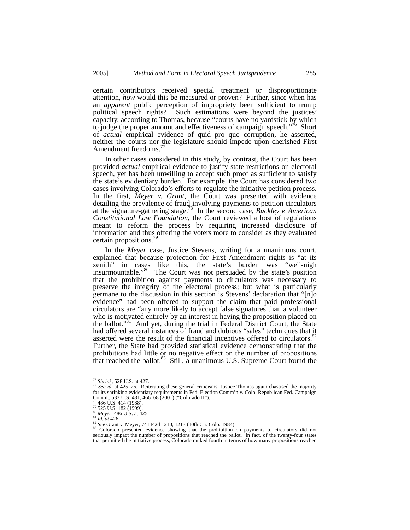certain contributors received special treatment or disproportionate attention, *how* would this be measured or proven? Further, since when has an *apparent* public perception of impropriety been sufficient to trump political speech rights? Such estimations were beyond the justices' capacity, according to Thomas, because "courts have no yardstick by which to judge the proper amount and effectiveness of campaign speech."<sup>76</sup> Short of *actual* empirical evidence of quid pro quo corruption, he asserted, neither the courts nor the legislature should impede upon cherished First Amendment freedoms.<sup>7</sup>

In other cases considered in this study, by contrast, the Court has been provided *actual* empirical evidence to justify state restrictions on electoral speech, yet has been unwilling to accept such proof as sufficient to satisfy the state's evidentiary burden. For example, the Court has considered two cases involving Colorado's efforts to regulate the initiative petition process. In the first, *Meyer v. Grant*, the Court was presented with evidence detailing the prevalence of fraud involving payments to petition circulators at the signature-gathering stage.78 In the second case, *Buckley v. American Constitutional Law Foundation*, the Court reviewed a host of regulations meant to reform the process by requiring increased disclosure of information and thus offering the voters more to consider as they evaluated certain propositions.

In the *Meyer* case, Justice Stevens, writing for a unanimous court, explained that because protection for First Amendment rights is "at its zenith" in cases like this, the state's burden was "well-nigh insurmountable."<sup>80</sup> The Court was not persuaded by the state's position that the prohibition against payments to circulators was necessary to preserve the integrity of the electoral process; but what is particularly germane to the discussion in this section is Stevens' declaration that "[n]o evidence" had been offered to support the claim that paid professional circulators are "any more likely to accept false signatures than a volunteer who is motivated entirely by an interest in having the proposition placed on the ballot."81 And yet, during the trial in Federal District Court, the State had offered several instances of fraud and dubious "sales" techniques that it asserted were the result of the financial incentives offered to circulators.<sup>82</sup> Further, the State had provided statistical evidence demonstrating that the prohibitions had little or no negative effect on the number of propositions that reached the ballot.<sup>83</sup> Still, a unanimous U.S. Supreme Court found the

<sup>76</sup> *Shrink*, 528 U.S. at 427. 77 *See id*. at 425–26.Reiterating these general criticisms, Justice Thomas again chastised the majority for its shrinking evidentiary requirements in Fed. Election Comm'n v. Colo. Republican Fed. Campaign Comm., 533 U.S. 431, 466–68 (2001) ("Colorado II").<br><sup>78</sup> 486 U.S. 414 (1988).

<sup>&</sup>lt;sup>79</sup> 525 U.S. 182 (1999).<br><sup>80</sup> *Meyer*, 486 U.S. at 425.<br><sup>81</sup> *Id. at* 426.<br><sup>82</sup> *See* Grant v. Meyer, 741 F.2d 1210, 1213 (10th Cir. Colo. 1984).<br><sup>82</sup> *See* Grant v. Meyer, 741 F.2d 1210, 1213 (10th Cir. Colo. 1984).<br><sup>83</sup> seriously impact the number of propositions that reached the ballot. In fact, of the twenty-four states that permitted the initiative process, Colorado ranked fourth in terms of how many propositions reached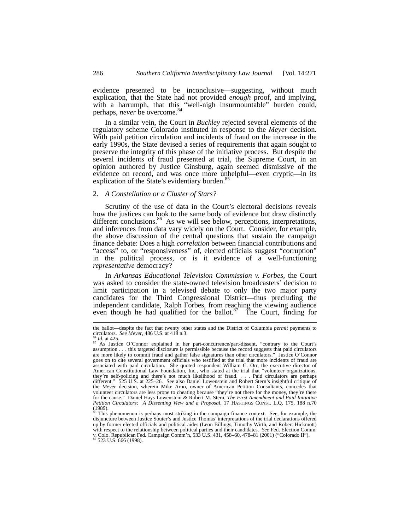evidence presented to be inconclusive—suggesting, without much explication, that the State had not provided *enough* proof, and implying, with a harrumph, that this "well-nigh insurmountable" burden could, perhaps, *never* be overcome.<sup>84</sup>

In a similar vein, the Court in *Buckley* rejected several elements of the regulatory scheme Colorado instituted in response to the *Meyer* decision. With paid petition circulation and incidents of fraud on the increase in the early 1990s, the State devised a series of requirements that again sought to preserve the integrity of this phase of the initiative process. But despite the several incidents of fraud presented at trial, the Supreme Court, in an opinion authored by Justice Ginsburg, again seemed dismissive of the evidence on record, and was once more unhelpful—even cryptic—in its explication of the State's evidentiary burden.<sup>85</sup>

#### 2. *A Constellation or a Cluster of Stars?*

Scrutiny of the use of data in the Court's electoral decisions reveals how the justices can look to the same body of evidence but draw distinctly different conclusions.<sup>86</sup> As we will see below, perceptions, interpretations, and inferences from data vary widely on the Court. Consider, for example, the above discussion of the central questions that sustain the campaign finance debate: Does a high *correlation* between financial contributions and "access" to, or "responsiveness" of, elected officials suggest "corruption" in the political process, or is it evidence of a well-functioning *representative* democracy?

In *Arkansas Educational Television Commission v. Forbes*, the Court was asked to consider the state-owned television broadcasters' decision to limit participation in a televised debate to only the two major party candidates for the Third Congressional District—thus precluding the independent candidate, Ralph Forbes, from reaching the viewing audience even though he had qualified for the ballot. $87$  The Court, finding for

the ballot—despite the fact that twenty other states and the District of Columbia *permit* payments to circulators. *See Meyer*, 486 U.S. at 418 n.3.

<sup>&</sup>lt;sup>84</sup> *Id.* at 425. **O'Connor explained in her part-concurrence/part-dissent, "contrary to the Court's As Justice O'Connor explained in her part-concurrence/part-dissent, "contrary to the Court's** assumption . . . this targeted disclosure is permissible because the record suggests that paid circulators are more likely to commit fraud and gather false signatures than other circulators." Justice O'Connor goes on to cite several government officials who testified at the trial that more incidents of fraud are associated with paid circulation. She quoted respondent William C. Orr, the executive director of American Constitutional Law Foundation, Inc., who stated at the trial that "volunteer organizations, they're self-policing and there's not much likelihood of fraud. . . . Paid circulators are perhaps different." 525 U.S. at 225–26. See also Daniel Lowenstein and Robert Stern's insightful critique of the *Meyer* decision, wherein Mike Arno, owner of American Petition Consultants, concedes that volunteer circulators are less prone to cheating because "they're not there for the money, they're there for the cause." Daniel Hays Lowenstein & Robert M. Stern, *The First Amendment and Paid Initiative Petition Circulators: A Dissenting View and a Proposal*, 17 HASTINGS CONST. L.Q. 175, 188 n.70  $(1989)$ .

<sup>&</sup>lt;sup>86</sup> This phenomenon is perhaps most striking in the campaign finance context. See, for example, the disjuncture between Justice Souter's and Justice Thomas' interpretations of the trial declarations offered up by former elected officials and political aides (Leon Billings, Timothy Wirth, and Robert Hickmott) with respect to the relationship between political parties and their candidates. *See* Fed. Election Comm.<br>v. Colo. Republican Fed. Campaign Comm'n, 533 U.S. 431, 458–60, 478–81 (2001) ("Colorado II").<br><sup>87</sup> 523 U.S. 666 (1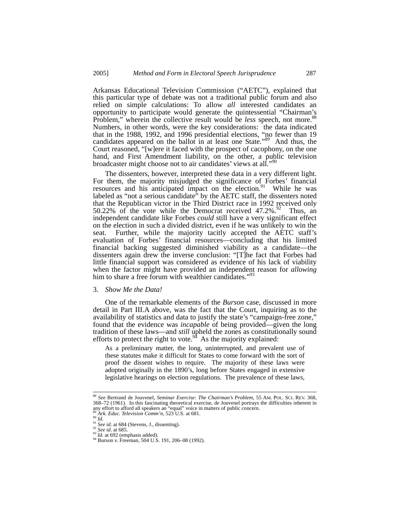Arkansas Educational Television Commission ("AETC"), explained that this particular type of debate was not a traditional public forum and also relied on simple calculations: To allow *all* interested candidates an opportunity to participate would generate the quintessential "Chairman's Problem," wherein the collective result would be *less* speech, not more.<sup>88</sup> Numbers, in other words, were the key considerations: the data indicated that in the 1988, 1992, and 1996 presidential elections, "no fewer than 19 candidates appeared on the ballot in at least one State."<sup>89</sup> And thus, the Court reasoned, "[w]ere it faced with the prospect of cacophony, on the one hand, and First Amendment liability, on the other, a public television broadcaster might choose not to air candidates' views at all."<sup>90</sup>

The dissenters, however, interpreted these data in a very different light. For them, the majority misjudged the significance of Forbes' financial resources and his anticipated impact on the election. $91$  While he was labeled as "not a serious candidate" by the AETC staff, the dissenters noted that the Republican victor in the Third District race in 1992 received only 50.22% of the vote while the Democrat received  $47.2\%$ .<sup>92</sup> Thus, an independent candidate like Forbes *could* still have a very significant effect on the election in such a divided district, even if he was unlikely to win the seat. Further, while the majority tacitly accepted the AETC staff's evaluation of Forbes' financial resources—concluding that his limited financial backing suggested diminished viability as a candidate—the dissenters again drew the inverse conclusion: "[T]he fact that Forbes had little financial support was considered as evidence of his lack of viability when the factor might have provided an independent reason for *allowing* him to share a free forum with wealthier candidates."<sup>93</sup>

#### 3. *Show Me the Data!*

One of the remarkable elements of the *Burson* case, discussed in more detail in Part III.A above, was the fact that the Court, inquiring as to the availability of statistics and data to justify the state's "campaign-free zone," found that the evidence was *incapable* of being provided—given the long tradition of these laws—and *still* upheld the zones as constitutionally sound efforts to protect the right to vote.<sup>94</sup> As the majority explained:

As a preliminary matter, the long, uninterrupted, and prevalent use of these statutes make it difficult for States to come forward with the sort of proof the dissent wishes to require. The majority of these laws were adopted originally in the 1890's, long before States engaged in extensive legislative hearings on election regulations. The prevalence of these laws,

 <sup>88</sup> *See* Bertrand de Jouvenel, *Seminar Exercise: The Chairman's Problem*, 55 AM. POL. SCI. REV. 368, 368–72 (1961). In this fascinating theoretical exercise, de Jouvenel portrays the difficulties inherent in <sup>89</sup> *Ark. Educ. Television Comm'n*, 523 U.S. at 681.<br><sup>90</sup> *Id.*<br><sup>91</sup> *See id.* at 684 (Stevens, J., dissenting).<br><sup>91</sup> *See id.* at 685.<br><sup>92</sup> *Ste id.* at 692 (emphasis added).<br><sup>94</sup> Burson v. Freeman, 504 U.S. 191, 206–08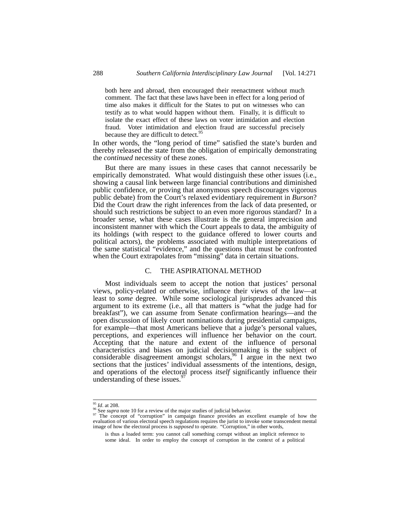both here and abroad, then encouraged their reenactment without much comment. The fact that these laws have been in effect for a long period of time also makes it difficult for the States to put on witnesses who can testify as to what would happen without them. Finally, it is difficult to isolate the exact effect of these laws on voter intimidation and election fraud. Voter intimidation and election fraud are successful precisely because they are difficult to detect.<sup>95</sup>

In other words, the "long period of time" satisfied the state's burden and thereby released the state from the obligation of empirically demonstrating the *continued* necessity of these zones.

But there are many issues in these cases that cannot necessarily be empirically demonstrated. What would distinguish these other issues (i.e., showing a causal link between large financial contributions and diminished public confidence, or proving that anonymous speech discourages vigorous public debate) from the Court's relaxed evidentiary requirement in *Burson*? Did the Court draw the right inferences from the lack of data presented, or should such restrictions be subject to an even more rigorous standard? In a broader sense, what these cases illustrate is the general imprecision and inconsistent manner with which the Court appeals to data, the ambiguity of its holdings (with respect to the guidance offered to lower courts and political actors), the problems associated with multiple interpretations of the same statistical "evidence," and the questions that must be confronted when the Court extrapolates from "missing" data in certain situations.

#### C. THE ASPIRATIONAL METHOD

Most individuals seem to accept the notion that justices' personal views, policy-related or otherwise, influence their views of the law—at least to *some* degree. While some sociological jurisprudes advanced this argument to its extreme (i.e., all that matters is "what the judge had for breakfast"), we can assume from Senate confirmation hearings—and the open discussion of likely court nominations during presidential campaigns, for example—that most Americans believe that a judge's personal values, perceptions, and experiences will influence her behavior on the court. Accepting that the nature and extent of the influence of personal characteristics and biases on judicial decisionmaking is the subject of considerable disagreement amongst scholars,  $96$  I argue in the next two sections that the justices' individual assessments of the intentions, design, and operations of the electoral process *itself* significantly influence their understanding of these issues.<sup>9</sup>

<sup>&</sup>lt;sup>95</sup> *Id.* at 208.<br><sup>96</sup> See *supra* note 10 for a review of the major studies of judicial behavior.<br><sup>97</sup> The concept of "corruption" in campaign finance provides an excellent example of how the evaluation of various electoral speech regulations requires the jurist to invoke some transcendent mental image of how the electoral process is *supposed* to operate. "Corruption," in other words,

is thus a loaded term: you cannot call something corrupt without an implicit reference to some ideal. In order to employ the concept of corruption in the context of a political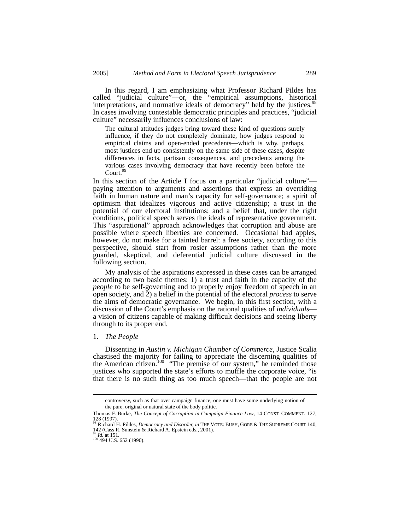In this regard, I am emphasizing what Professor Richard Pildes has called "judicial culture"—or, the "empirical assumptions, historical interpretations, and normative ideals of democracy" held by the justices.<sup>98</sup> In cases involving contestable democratic principles and practices, "judicial" culture" necessarily influences conclusions of law:

The cultural attitudes judges bring toward these kind of questions surely influence, if they do not completely dominate, how judges respond to empirical claims and open-ended precedents—which is why, perhaps, most justices end up consistently on the same side of these cases, despite differences in facts, partisan consequences, and precedents among the various cases involving democracy that have recently been before the Court.<sup>99</sup>

In this section of the Article I focus on a particular "judicial culture" paying attention to arguments and assertions that express an overriding faith in human nature and man's capacity for self-governance; a spirit of optimism that idealizes vigorous and active citizenship; a trust in the potential of our electoral institutions; and a belief that, under the right conditions, political speech serves the ideals of representative government. This "aspirational" approach acknowledges that corruption and abuse are possible where speech liberties are concerned. Occasional bad apples, however, do not make for a tainted barrel: a free society, according to this perspective, should start from rosier assumptions rather than the more guarded, skeptical, and deferential judicial culture discussed in the following section.

My analysis of the aspirations expressed in these cases can be arranged according to two basic themes: 1) a trust and faith in the capacity of the *people* to be self-governing and to properly enjoy freedom of speech in an open society, and 2) a belief in the potential of the electoral *process* to serve the aims of democratic governance. We begin, in this first section, with a discussion of the Court's emphasis on the rational qualities of *individuals*— a vision of citizens capable of making difficult decisions and seeing liberty through to its proper end.

### 1. *The People*

Dissenting in *Austin v. Michigan Chamber of Commerce*, Justice Scalia chastised the majority for failing to appreciate the discerning qualities of the American citizen.<sup>100</sup> "The premise of our system," he reminded those justices who supported the state's efforts to muffle the corporate voice, "is that there is no such thing as too much speech—that the people are not

controversy, such as that over campaign finance, one must have some underlying notion of the pure, original or natural state of the body politic.

Thomas F. Burke, *The Concept of Corruption in Campaign Finance Law*, 14 CONST. COMMENT*.* 127, 128 (1997). 98 Richard H. Pildes, *Democracy and Disorder, in* THE VOTE: BUSH, GORE & THE SUPREME COURT 140,

<sup>142 (</sup>Cass R. Sunstein & Richard A. Epstein eds., 2001).

<sup>&</sup>lt;sup>99</sup> *Id.* at 151.<br><sup>100</sup> 494 U.S. 652 (1990).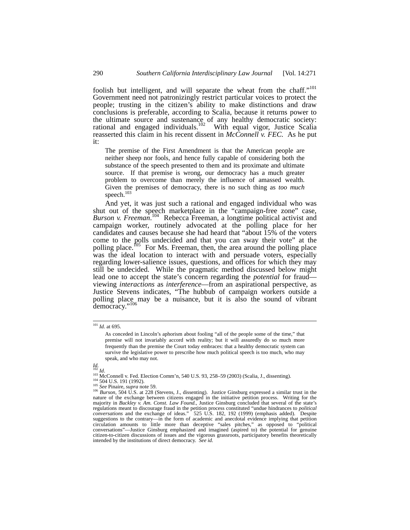foolish but intelligent, and will separate the wheat from the chaff."<sup>101</sup> Government need not patronizingly restrict particular voices to protect the people; trusting in the citizen's ability to make distinctions and draw conclusions is preferable, according to Scalia, because it returns power to the ultimate source and sustenance of any healthy democratic society: rational and engaged individuals.<sup>102</sup> With equal vigor, Justice Scalia reasserted this claim in his recent dissent in *McConnell v. FEC.* As he put it:

The premise of the First Amendment is that the American people are neither sheep nor fools, and hence fully capable of considering both the substance of the speech presented to them and its proximate and ultimate source. If that premise is wrong, our democracy has a much greater problem to overcome than merely the influence of amassed wealth. Given the premises of democracy, there is no such thing as *too much* speech.<sup>103</sup>

And yet, it was just such a rational and engaged individual who was shut out of the speech marketplace in the "campaign-free zone" case, *Burson v. Freeman*. 104 Rebecca Freeman, a longtime political activist and campaign worker, routinely advocated at the polling place for her candidates and causes because she had heard that "about 15% of the voters come to the polls undecided and that you can sway their vote" at the polling place.<sup> $105$ </sup> For Ms. Freeman, then, the area around the polling place was the ideal location to interact with and persuade voters, especially regarding lower-salience issues, questions, and offices for which they may still be undecided. While the pragmatic method discussed below might lead one to accept the state's concern regarding the *potential* for fraud viewing *interactions* as *interference*—from an aspirational perspective, as Justice Stevens indicates, "The hubbub of campaign workers outside a polling place may be a nuisance, but it is also the sound of vibrant democracy."<sup>106</sup>

 <sup>101</sup> *Id.* at 695.

As conceded in Lincoln's aphorism about fooling "all of the people some of the time," that premise will not invariably accord with reality; but it will assuredly do so much more frequently than the premise the Court today embraces: that a healthy democratic system can survive the legislative power to prescribe how much political speech is too much, who may speak, and who may not.

 $\frac{Id}{102}$  *Id.* 

<sup>&</sup>lt;sup>103</sup> McConnell v. Fed. Election Comm'n, 540 U.S. 93, 258–59 (2003) (Scalia, J., dissenting).<br><sup>103</sup> 504 U.S. 191 (1992).<br><sup>105</sup> *See* Pinaire, *supra* note 59.<br><sup>106</sup> *Burson*, 504 U.S. at 228 (Stevens, J., dissenting). Just nature of the exchange between citizens engaged in the initiative petition process. Writing for the majority in *Buckley v. Am. Const. Law Found.*, Justice Ginsburg concluded that several of the state's regulations meant to discourage fraud in the petition process constituted "undue hindrances to *political* conversations and the exchange of ideas." 525 U.S. 182, 192 (1999) (emphasis added). Despite suggestions to the con circulation amounts to little more than deceptive "sales pitches," as opposed to "political conversations"—Justice Ginsburg emphasized and imagined (aspired to) the potential for genuine citizen-to-citizen discussions of issues and the vigorous grassroots, participatory benefits theoretically intended by the institutions of direct democracy. *See id.*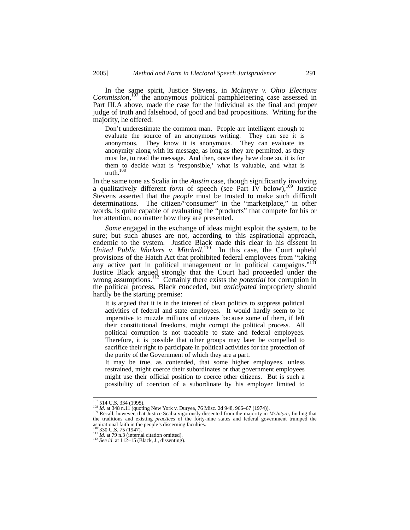In the same spirit, Justice Stevens, in *McIntyre v. Ohio Elections*  Commission,<sup>107</sup> the anonymous political pamphleteering case assessed in Part III.A above, made the case for the individual as the final and proper judge of truth and falsehood, of good and bad propositions. Writing for the majority, he offered:

Don't underestimate the common man. People are intelligent enough to evaluate the source of an anonymous writing. They can see it is anonymous. They know it is anonymous. They can evaluate its anonymity along with its message, as long as they are permitted, as they must be, to read the message. And then, once they have done so, it is for them to decide what is 'responsible,' what is valuable, and what is truth.108

In the same tone as Scalia in the *Austin* case, though significantly involving a qualitatively different *form* of speech (see Part IV below),<sup>109</sup> Justice Stevens asserted that the *people* must be trusted to make such difficult determinations. The citizen/"consumer" in the "marketplace," in other words, is quite capable of evaluating the "products" that compete for his or her attention, no matter how they are presented.

*Some* engaged in the exchange of ideas might exploit the system, to be sure; but such abuses are not, according to this aspirational approach, endemic to the system. Justice Black made this clear in his dissent in United Public Workers v. Mitchell.<sup>110</sup> In this case, the Court upheld provisions of the Hatch Act that prohibited federal employees from "taking any active part in political management or in political campaigns."111 Justice Black argued strongly that the Court had proceeded under the wrong assumptions.<sup>112</sup> Certainly there exists the *potential* for corruption in the political process, Black conceded, but *anticipated* impropriety should hardly be the starting premise:

It is argued that it is in the interest of clean politics to suppress political activities of federal and state employees. It would hardly seem to be imperative to muzzle millions of citizens because some of them, if left their constitutional freedoms, might corrupt the political process. All political corruption is not traceable to state and federal employees. Therefore, it is possible that other groups may later be compelled to sacrifice their right to participate in political activities for the protection of the purity of the Government of which they are a part.

It may be true, as contended, that some higher employees, unless restrained, might coerce their subordinates or that government employees might use their official position to coerce other citizens. But is such a possibility of coercion of a subordinate by his employer limited to

<sup>&</sup>lt;sup>107</sup> 514 U.S. 334 (1995).<br><sup>108</sup> *Id.* at 348 n.11 (quoting New York v. Duryea, 76 Misc. 2d 948, 966–67 (1974)).<br><sup>109</sup> Recall, however, that Justice Scalia vigorously dissented from the majority in *McIntyre*, finding tha aspirational faith in the people's discerning faculties.<br> $\frac{100}{330}$  JJ S 75 (1947)

<sup>111</sup> *Id.* at 79 n.3 (internal citation omitted).<br><sup>112</sup> *See id.* at 112–15 (Black, J., dissenting).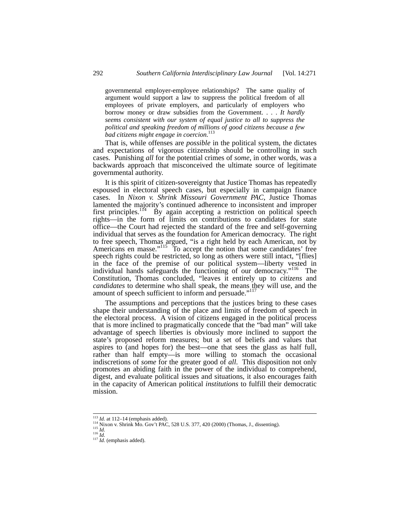governmental employer-employee relationships? The same quality of argument would support a law to suppress the political freedom of all employees of private employers, and particularly of employers who borrow money or draw subsidies from the Government. . . . *It hardly seems consistent with our system of equal justice to all to suppress the political and speaking freedom of millions of good citizens because a few bad citizens might engage in coercion*. 113

That is, while offenses are *possible* in the political system, the dictates and expectations of vigorous citizenship should be controlling in such cases. Punishing *all* for the potential crimes of *some*, in other words, was a backwards approach that misconceived the ultimate source of legitimate governmental authority.

It is this spirit of citizen-sovereignty that Justice Thomas has repeatedly espoused in electoral speech cases, but especially in campaign finance cases. In *Nixon v. Shrink Missouri Government PAC*, Justice Thomas lamented the majority's continued adherence to inconsistent and improper first principles.<sup>114</sup> By again accepting a restriction on political speech rights—in the form of limits on contributions to candidates for state office—the Court had rejected the standard of the free and self-governing individual that serves as the foundation for American democracy. The right to free speech, Thomas argued, "is a right held by each American, not by Americans en masse."<sup>115</sup> To accept the notion that some candidates' free speech rights could be restricted, so long as others were still intact, "[flies] in the face of the premise of our political system—liberty vested in individual hands safeguards the functioning of our democracy."<sup>116</sup> The Constitution, Thomas concluded, "leaves it entirely up to *citizens* and *candidates* to determine who shall speak, the means they will use, and the amount of speech sufficient to inform and persuade."<sup>117</sup>

The assumptions and perceptions that the justices bring to these cases shape their understanding of the place and limits of freedom of speech in the electoral process. A vision of citizens engaged in the political process that is more inclined to pragmatically concede that the "bad man" will take advantage of speech liberties is obviously more inclined to support the state's proposed reform measures; but a set of beliefs and values that aspires to (and hopes for) the best—one that sees the glass as half full, rather than half empty—is more willing to stomach the occasional indiscretions of *some* for the greater good of *all*. This disposition not only promotes an abiding faith in the power of the individual to comprehend, digest, and evaluate political issues and situations, it also encourages faith in the capacity of American political *institutions* to fulfill their democratic mission.

<sup>113</sup> *Id.* at 112–14 (emphasis added).<br>
<sup>114</sup> Nixon v. Shrink Mo. Gov't PAC, 528 U.S. 377, 420 (2000) (Thomas, J., dissenting).<br>
<sup>115</sup> *Id.*<br><sup>117</sup> *Id.* (emphasis added).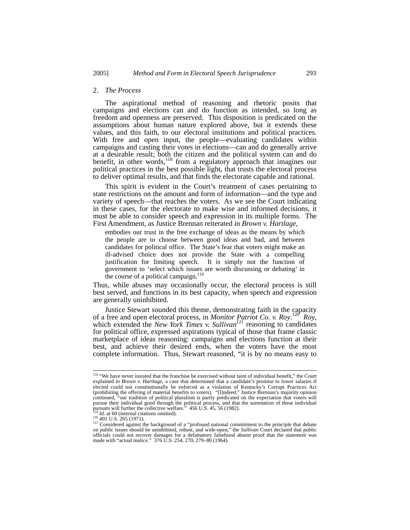#### 2. *The Process*

The aspirational method of reasoning and rhetoric posits that campaigns and elections can and do function as intended, so long as freedom and openness are preserved. This disposition is predicated on the assumptions about human nature explored above, but it extends these values, and this faith, to our electoral institutions and political practices. With free and open input, the people—evaluating candidates within campaigns and casting their votes in elections—can and do generally arrive at a desirable result; both the citizen and the political system can and do benefit, in other words,  $118$  from a regulatory approach that imagines our political practices in the best possible light, that trusts the electoral process to deliver optimal results, and that finds the electorate capable and rational.

This spirit is evident in the Court's treatment of cases pertaining to state restrictions on the amount and form of information—and the type and variety of speech—that reaches the voters. As we see the Court indicating in these cases, for the electorate to make wise and informed decisions, it must be able to consider speech and expression in its multiple forms. The First Amendment, as Justice Brennan reiterated in *Brown v. Hartlage*,

embodies our trust in the free exchange of ideas as the means by which the people are to choose between good ideas and bad, and between candidates for political office. The State's fear that voters might make an ill-advised choice does not provide the State with a compelling justification for limiting speech. It is simply not the function of government to 'select which issues are worth discussing or debating' in the course of a political campaign. $119$ 

Thus, while abuses may occasionally occur, the electoral process is still best served, and functions in its best capacity, when speech and expression are generally uninhibited.

Justice Stewart sounded this theme, demonstrating faith in the capacity of a free and open electoral process, in *Monitor Patriot Co. v. Roy*.<sup>120</sup><sup>*Roy*,</sup> which extended the *New York Times v. Sullivan*<sup>121</sup> reasoning to candidates for political office, expressed aspirations typical of those that frame classic marketplace of ideas reasoning: campaigns and elections function at their best, and achieve their desired ends, when the voters have the most complete information. Thus, Stewart reasoned, "it is by no means easy to

<sup>&</sup>lt;sup>118</sup> "We have never insisted that the franchise be exercised without taint of individual benefit," the Court explained in *Brown v. Hartlage*, a case that determined that a candidate's promise to lower salaries if elected could not constitutionally be enforced as a violation of Kentucky's Corrupt Practices Act (prohibiting the offering of material benefits to voters). "[I]ndeed," Justice Brennan's majority opinion continued, "our tradition of political pluralism is partly predicated on the expectation that voters will pursue their individual good through the political process, and that the summation of these individual<br>pursuits will further the collective welfare." 456 U.S. 45, 56 (1982).

<sup>&</sup>lt;sup>119</sup> *Id.* at 60 (internal citations omitted).<br><sup>120</sup> 401 U.S. 265 (1971).<br><sup>121</sup> Considered against the background of a "profound national commitment to the principle that debate on public issues should be uninhibited, robust, and wide-open," the *Sullivan* Court declared that public officials could not recover damages for a defamatory falsehood absent proof that the statement was made with "actual malice." 376 U.S. 254, 270, 279–80 (1964).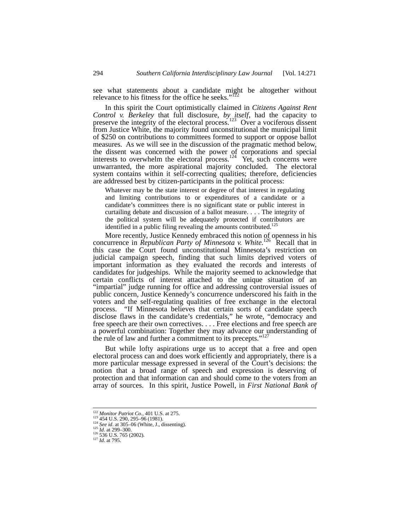see what statements about a candidate might be altogether without relevance to his fitness for the office he seeks."<sup>12</sup>

In this spirit the Court optimistically claimed in *Citizens Against Rent Control v. Berkeley* that full disclosure, *by itself*, had the capacity to preserve the integrity of the electoral process.<sup>123</sup> Over a vociferous dissent from Justice White, the majority found unconstitutional the municipal limit of \$250 on contributions to committees formed to support or oppose ballot measures. As we will see in the discussion of the pragmatic method below, the dissent was concerned with the power of corporations and special interests to overwhelm the electoral process.<sup>124</sup> Yet, such concerns were unwarranted, the more aspirational majority concluded. The electoral system contains within it self-correcting qualities; therefore, deficiencies are addressed best by citizen-participants in the political process:

Whatever may be the state interest or degree of that interest in regulating and limiting contributions to or expenditures of a candidate or a candidate's committees there is no significant state or public interest in curtailing debate and discussion of a ballot measure. . . . The integrity of the political system will be adequately protected if contributors are identified in a public filing revealing the amounts contributed.<sup>125</sup>

More recently, Justice Kennedy embraced this notion of openness in his concurrence in *Republican Party of Minnesota v. White*.<sup>126</sup> Recall that in this case the Court found unconstitutional Minnesota's restriction on judicial campaign speech, finding that such limits deprived voters of important information as they evaluated the records and interests of candidates for judgeships. While the majority seemed to acknowledge that certain conflicts of interest attached to the unique situation of an "impartial" judge running for office and addressing controversial issues of public concern, Justice Kennedy's concurrence underscored his faith in the voters and the self-regulating qualities of free exchange in the electoral process. "If Minnesota believes that certain sorts of candidate speech disclose flaws in the candidate's credentials," he wrote, "democracy and free speech are their own correctives. . . . Free elections and free speech are a powerful combination: Together they may advance our understanding of the rule of law and further a commitment to its precepts." $12$ <sup>7</sup>

But while lofty aspirations urge us to accept that a free and open electoral process can and does work efficiently and appropriately, there is a more particular message expressed in several of the Court's decisions: the notion that a broad range of speech and expression is deserving of protection and that information can and should come to the voters from an array of sources. In this spirit, Justice Powell, in *First National Bank of* 

<sup>&</sup>lt;sup>122</sup> *Monitor Patriot Co.*, 401 U.S. at 275.<br><sup>123</sup> 454 U.S. 290, 295–96 (1981).<br><sup>124</sup> *See id.* at 305–06 (White, J., dissenting).<br><sup>125</sup> *Id.* at 299–300. 127 *Id.* at 795.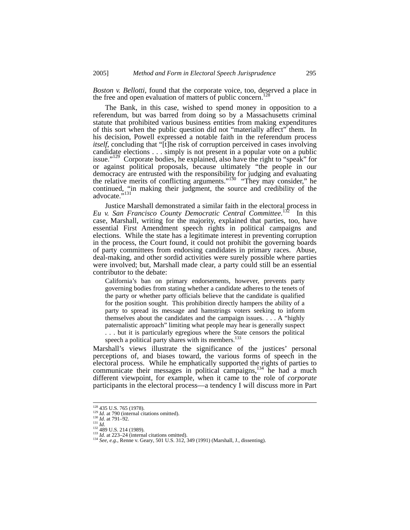*Boston v. Bellotti*, found that the corporate voice, too, deserved a place in the free and open evaluation of matters of public concern.<sup>12</sup>

The Bank, in this case, wished to spend money in opposition to a referendum, but was barred from doing so by a Massachusetts criminal statute that prohibited various business entities from making expenditures of this sort when the public question did not "materially affect" them. In his decision, Powell expressed a notable faith in the referendum process *itself*, concluding that "[t]he risk of corruption perceived in cases involving candidate elections . . . simply is not present in a popular vote on a public issue."<sup>129</sup> Corporate bodies, he explained, also have the right to "speak" for or against political proposals, because ultimately "the people in our democracy are entrusted with the responsibility for judging and evaluating the relative merits of conflicting arguments."<sup>130</sup> "They may consider," he continued, "in making their judgment, the source and credibility of the advocate."131

Justice Marshall demonstrated a similar faith in the electoral process in *Eu v. San Francisco County Democratic Central Committee*.  $\frac{2}{3}$  In this case, Marshall, writing for the majority, explained that parties, too, have essential First Amendment speech rights in political campaigns and elections. While the state has a legitimate interest in preventing corruption in the process, the Court found, it could not prohibit the governing boards of party committees from endorsing candidates in primary races. Abuse, deal-making, and other sordid activities were surely possible where parties were involved; but, Marshall made clear, a party could still be an essential contributor to the debate:

California's ban on primary endorsements, however, prevents party governing bodies from stating whether a candidate adheres to the tenets of the party or whether party officials believe that the candidate is qualified for the position sought. This prohibition directly hampers the ability of a party to spread its message and hamstrings voters seeking to inform themselves about the candidates and the campaign issues. . . . A "highly paternalistic approach" limiting what people may hear is generally suspect . . . but it is particularly egregious where the State censors the political speech a political party shares with its members.<sup>133</sup>

Marshall's views illustrate the significance of the justices' personal perceptions of, and biases toward, the various forms of speech in the electoral process. While he emphatically supported the rights of parties to communicate their messages in political campaigns,<sup>134</sup> he had a much different viewpoint, for example, when it came to the role of *corporate* participants in the electoral process—a tendency I will discuss more in Part

<sup>&</sup>lt;sup>128</sup> 435 U.S. 765 (1978).<br>
<sup>129</sup> *Id.* at 790 (internal citations omitted).<br>
<sup>130</sup> *Id.* at 791–92.<br>
<sup>131</sup> *Id.*<br>
<sup>132</sup> 489 U.S. 214 (1989).<br>
<sup>132</sup> *A89* U.S. 214 (1989).<br>
<sup>133</sup> *Id.* at 223–24 (internal citations omitte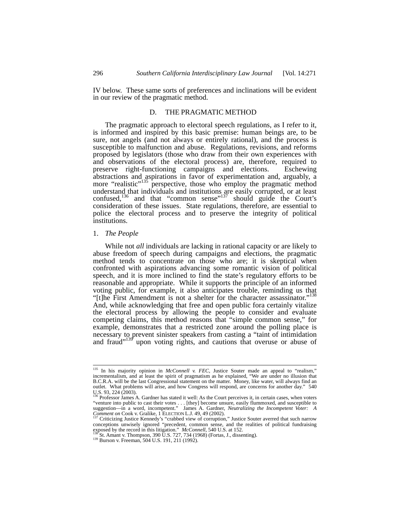IV below. These same sorts of preferences and inclinations will be evident in our review of the pragmatic method.

#### D. THE PRAGMATIC METHOD

The pragmatic approach to electoral speech regulations, as I refer to it, is informed and inspired by this basic premise: human beings are, to be sure, not angels (and not always or entirely rational), and the process is susceptible to malfunction and abuse. Regulations, revisions, and reforms proposed by legislators (those who draw from their own experiences with and observations of the electoral process) are, therefore, required to preserve right-functioning campaigns and elections. Eschewing abstractions and aspirations in favor of experimentation and, arguably, a more "realistic"<sup>135</sup> perspective, those who employ the pragmatic method understand that individuals and institutions are easily corrupted, or at least confused,<sup>136</sup> and that "common sense"<sup>137</sup> should guide the Court's consideration of these issues. State regulations, therefore, are essential to police the electoral process and to preserve the integrity of political institutions.

#### 1. *The People*

While not *all* individuals are lacking in rational capacity or are likely to abuse freedom of speech during campaigns and elections, the pragmatic method tends to concentrate on those who are; it is skeptical when confronted with aspirations advancing some romantic vision of political speech, and it is more inclined to find the state's regulatory efforts to be reasonable and appropriate. While it supports the principle of an informed voting public, for example, it also anticipates trouble, reminding us that "[t]he First Amendment is not a shelter for the character assassinator."<sup>13</sup> And, while acknowledging that free and open public fora certainly vitalize the electoral process by allowing the people to consider and evaluate competing claims, this method reasons that "simple common sense," for example, demonstrates that a restricted zone around the polling place is necessary to prevent sinister speakers from casting a "taint of intimidation and fraud"<sup>139</sup> upon voting rights, and cautions that overuse or abuse of

<sup>&</sup>lt;sup>135</sup> In his majority opinion in *McConnell v. FEC*, Justice Souter made an appeal to "realism," incrementalism, and at least the spirit of pragmatism as he explained, "We are under no illusion that B.C.R.A. will be the last Congressional statement on the matter. Money, like water, will always find an outlet. What problems will arise, and how Congress will respond, are concerns for another day."

U.S. 93, 224 (2003).<br><sup>136</sup> Professor James A. Gardner has stated it well: As the Court perceives it, in certain cases, when voters "venture into public to cast their votes . . . [they] become unsure, easily flummoxed, and susceptible to suggestion—in a word, incompetent." James A. Gardner, *Neutralizing the Incompetent Voter: A Comment on Cook v. Gralike, 1 ELECTION L.J. 49, 49 (2002). International comment on Cook v. Gralike, 1 ELECTION L.J. 49, 49 (2002). International content of Cook v. Gralike, 1 ELECTION L.J. 49, 49 (2002).* 

conceptions unwisely ignored "precedent, common sense, and the realities of political fundraising exposed by the record in this litigation." *McConnell*, 540 U.S. at 152.<br><sup>138</sup> St. Amant v. Thompson, 390 U.S. 727, 734 (196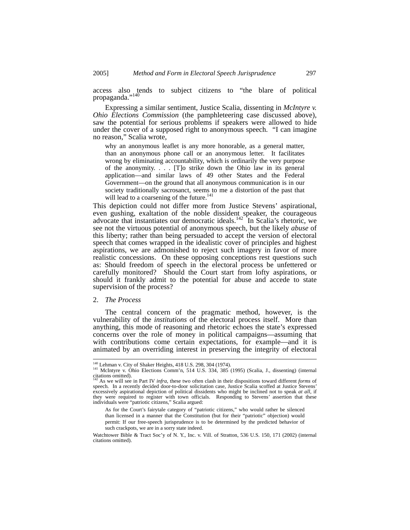access also tends to subject citizens to "the blare of political propaganda."<sup>140</sup>

Expressing a similar sentiment, Justice Scalia, dissenting in *McIntyre v. Ohio Elections Commission* (the pamphleteering case discussed above), saw the potential for serious problems if speakers were allowed to hide under the cover of a supposed right to anonymous speech. "I can imagine no reason," Scalia wrote,

why an anonymous leaflet is any more honorable, as a general matter, than an anonymous phone call or an anonymous letter. It facilitates wrong by eliminating accountability, which is ordinarily the very purpose of the anonymity. . . . [T]o strike down the Ohio law in its general application—and similar laws of 49 other States and the Federal Government—on the ground that all anonymous communication is in our society traditionally sacrosanct, seems to me a distortion of the past that will lead to a coarsening of the future.<sup>141</sup>

This depiction could not differ more from Justice Stevens' aspirational, even gushing, exaltation of the noble dissident speaker, the courageous advocate that instantiates our democratic ideals.<sup>142</sup> In Scalia's rhetoric, we see not the virtuous potential of anonymous speech, but the likely *abuse* of this liberty; rather than being persuaded to accept the version of electoral speech that comes wrapped in the idealistic cover of principles and highest aspirations, we are admonished to reject such imagery in favor of more realistic concessions. On these opposing conceptions rest questions such as: Should freedom of speech in the electoral process be unfettered or carefully monitored? Should the Court start from lofty aspirations, or should it frankly admit to the potential for abuse and accede to state supervision of the process?

#### 2. *The Process*

The central concern of the pragmatic method, however, is the vulnerability of the *institutions* of the electoral process itself. More than anything, this mode of reasoning and rhetoric echoes the state's expressed concerns over the role of money in political campaigns—assuming that with contributions come certain expectations, for example—and it is animated by an overriding interest in preserving the integrity of electoral

 $\frac{140}{141}$  Lehman v. City of Shaker Heights, 418 U.S. 298, 304 (1974).<br><sup>141</sup> McIntyre v. Ohio Elections Comm'n, 514 U.S. 334, 385 (1995) (Scalia, J., dissenting) (internal citations omitted).

<sup>142</sup> As we will see in Part IV *infra*, these two often clash in their dispositions toward different *forms* of speech. In a recently decided door-to-door solicitation case, Justice Scalia scoffed at Justice Stevens' excessively aspirational depiction of political dissidents who might be inclined not to speak *at all*, if they were required to register with town officials. Responding to Stevens' assertion that these individuals were "patriotic citizens," Scalia argued:

As for the Court's fairytale category of "patriotic citizens," who would rather be silenced than licensed in a manner that the Constitution (but for their "patriotic" objection) would permit: If our free-speech jurisprudence is to be determined by the predicted behavior of such crackpots, we are in a sorry state indeed.

Watchtower Bible & Tract Soc'y of N. Y., Inc. v. Vill. of Stratton, 536 U.S. 150, 171 (2002) (internal citations omitted).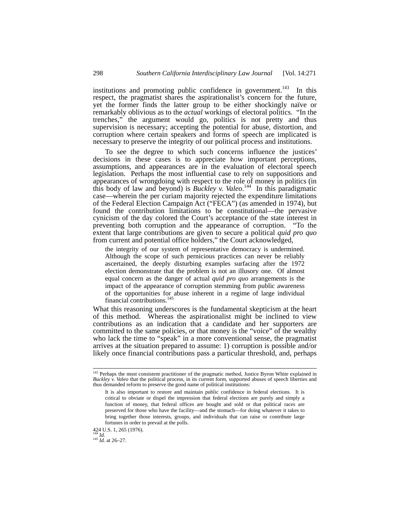institutions and promoting public confidence in government.<sup>143</sup> In this respect, the pragmatist shares the aspirationalist's concern for the future, yet the former finds the latter group to be either shockingly naïve or remarkably oblivious as to the *actual* workings of electoral politics. "In the trenches," the argument would go, politics is not pretty and thus supervision is necessary; accepting the potential for abuse, distortion, and corruption where certain speakers and forms of speech are implicated is necessary to preserve the integrity of our political process and institutions.

To see the degree to which such concerns influence the justices' decisions in these cases is to appreciate how important perceptions, assumptions, and appearances are in the evaluation of electoral speech legislation. Perhaps the most influential case to rely on suppositions and appearances of wrongdoing with respect to the role of money in politics (in this body of law and beyond) is *Buckley v. Valeo*. 144 In this paradigmatic case—wherein the per curiam majority rejected the expenditure limitations of the Federal Election Campaign Act ("FECA") (as amended in 1974), but found the contribution limitations to be constitutional—the pervasive cynicism of the day colored the Court's acceptance of the state interest in preventing both corruption and the appearance of corruption. "To the extent that large contributions are given to secure a political *quid pro quo* from current and potential office holders," the Court acknowledged,

the integrity of our system of representative democracy is undermined. Although the scope of such pernicious practices can never be reliably ascertained, the deeply disturbing examples surfacing after the 1972 election demonstrate that the problem is not an illusory one. Of almost equal concern as the danger of actual *quid pro quo* arrangements is the impact of the appearance of corruption stemming from public awareness of the opportunities for abuse inherent in a regime of large individual financial contributions.<sup>145</sup>

What this reasoning underscores is the fundamental skepticism at the heart of this method. Whereas the aspirationalist might be inclined to view contributions as an indication that a candidate and her supporters are committed to the same policies, or that money is the "voice" of the wealthy who lack the time to "speak" in a more conventional sense, the pragmatist arrives at the situation prepared to assume: 1) corruption is possible and/or likely once financial contributions pass a particular threshold, and, perhaps

424 U.S. 1, 265 (1976). <sup>144</sup> *Id.* <sup>145</sup> *Id.* at 26–27.

<sup>&</sup>lt;sup>143</sup> Perhaps the most consistent practitioner of the pragmatic method, Justice Byron White explained in *Buckley v. Valeo* that the political process, in its current form, supported abuses of speech liberties and thus demanded reform to preserve the good name of political institutions:

It is also important to restore and maintain public confidence in federal elections. It is critical to obviate or dispel the impression that federal elections are purely and simply a function of money, that federal offices are bought and sold or that political races are preserved for those who have the facility—and the stomach—for doing whatever it takes to bring together those interests, groups, and individuals that can raise or contribute large fortunes in order to prevail at the polls.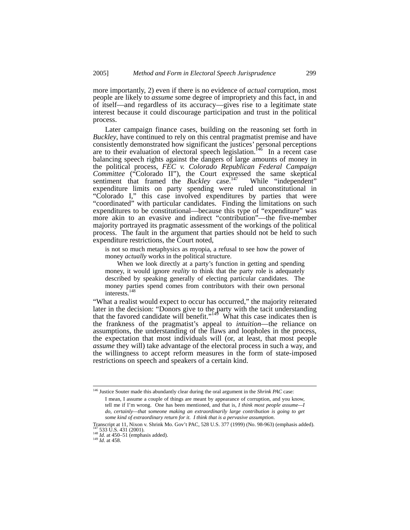more importantly, 2) even if there is no evidence of *actual* corruption, most people are likely to *assume* some degree of impropriety and this fact, in and of itself—and regardless of its accuracy—gives rise to a legitimate state interest because it could discourage participation and trust in the political process.

Later campaign finance cases, building on the reasoning set forth in *Buckley*, have continued to rely on this central pragmatist premise and have consistently demonstrated how significant the justices' personal perceptions are to their evaluation of electoral speech legislation.<sup>146</sup> In a recent case balancing speech rights against the dangers of large amounts of money in the political process, *FEC v. Colorado Republican Federal Campaign Committee* ("Colorado II"), the Court expressed the same skeptical sentiment that framed the *Buckley* case.<sup>147</sup> While "independent" expenditure limits on party spending were ruled unconstitutional in "Colorado I," this case involved expenditures by parties that were "coordinated" with particular candidates. Finding the limitations on such expenditures to be constitutional—because this type of "expenditure" was more akin to an evasive and indirect "contribution"—the five-member majority portrayed its pragmatic assessment of the workings of the political process. The fault in the argument that parties should not be held to such expenditure restrictions, the Court noted,

is not so much metaphysics as myopia, a refusal to see how the power of money *actually* works in the political structure.

 When we look directly at a party's function in getting and spending money, it would ignore *reality* to think that the party role is adequately described by speaking generally of electing particular candidates. The money parties spend comes from contributors with their own personal interests.148

"What a realist would expect to occur has occurred," the majority reiterated later in the decision: "Donors give to the party with the tacit understanding that the favored candidate will benefit."<sup>149</sup> What this case indicates then is the frankness of the pragmatist's appeal to *intuition*—the reliance on assumptions, the understanding of the flaws and loopholes in the process, the expectation that most individuals will (or, at least, that most people *assume* they will) take advantage of the electoral process in such a way, and the willingness to accept reform measures in the form of state-imposed restrictions on speech and speakers of a certain kind.

 <sup>146</sup> Justice Souter made this abundantly clear during the oral argument in the *Shrink PAC* case: I mean, I assume a couple of things are meant by appearance of corruption, and you know, tell me if I'm wrong. One has been mentioned, and that is, *I think most people assume—I do, certainly—that someone making an extraordinarily large contribution is going to get some kind of extraordinary return for it. I think that is a pervasive assumption*.

Transcript at 11, Nixon v. Shrink Mo. Gov't PAC*,* 528 U.S. 377 (1999) (No. 98-963) (emphasis added). 147 533 U.S. 431 (2001). 148 *Id.* at 450–51 (emphasis added). 149 *Id*. at 458.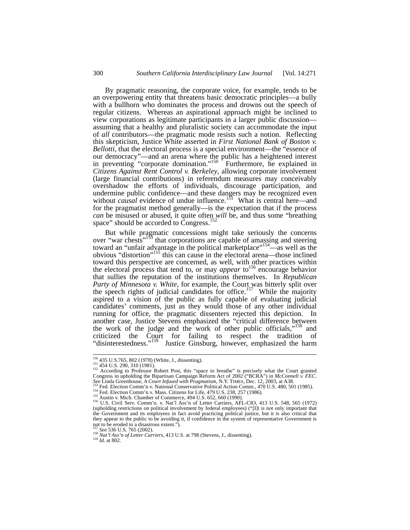By pragmatic reasoning, the corporate voice, for example, tends to be an overpowering entity that threatens basic democratic principles—a bully with a bullhorn who dominates the process and drowns out the speech of regular citizens. Whereas an aspirational approach might be inclined to view corporations as legitimate participants in a larger public discussion assuming that a healthy and pluralistic society can accommodate the input of *all* contributors—the pragmatic mode resists such a notion. Reflecting this skepticism, Justice White asserted in *First National Bank of Boston v. Bellotti*, that the electoral process is a special environment—the "essence of our democracy"—and an arena where the public has a heightened interest in preventing "corporate domination."<sup>150</sup> Furthermore, he explained in *Citizens Against Rent Control v. Berkeley*, allowing corporate involvement (large financial contributions) in referendum measures may conceivably overshadow the efforts of individuals, discourage participation, and undermine public confidence—and these dangers may be recognized even without *causal* evidence of undue influence.<sup>151</sup> What is central here—and for the pragmatist method generally—is the expectation that if the process *can* be misused or abused, it quite often *will* be, and thus some "breathing space" should be accorded to Congress.<sup>152</sup>

But while pragmatic concessions might take seriously the concerns over "war chests"<sup>153</sup> that corporations are capable of amassing and steering toward an "unfair advantage in the political marketplace"<sup>154</sup>—as well as the obvious "distortion"155 this can cause in the electoral arena—those inclined toward this perspective are concerned, as well, with other practices within the electoral process that tend to, or may *appear* to156 encourage behavior that sullies the reputation of the institutions themselves. In *Republican Party of Minnesota v. White*, for example, the Court was bitterly split over the speech rights of judicial candidates for office.<sup>157</sup> While the majority aspired to a vision of the public as fully capable of evaluating judicial candidates' comments, just as they would those of any other individual running for office, the pragmatic dissenters rejected this depiction. In another case, Justice Stevens emphasized the "critical difference between the work of the judge and the work of other public officials,"<sup>158</sup> and criticized the Court for failing to respect the tradition of "disinterestedness."<sup>159</sup> Justice Ginsburg, however, emphasized the harm

<sup>&</sup>lt;sup>150</sup> 435 U.S.765, 802 (1978) (White, J., dissenting).<br><sup>151</sup> 454 U.S. 290, 310 (1981). <sup>152</sup> According to Professor Robert Post, this "space to breathe" is precisely what the Court granted Congress in upholding the Bipartisan Campaign Reform Act of 2002 ("BCRA") in *McConnell v. FEC*. See Linda Greenhouse, *A Court Infused with Pragmatism*, N.Y. TIMES, Dec. 12, 2003, at A38.<br>
<sup>153</sup> Fed. Election Comm'n v. National Conservative Political Action Comm., 470 U.S. 480, 501 (1985).<br>
<sup>154</sup> Fed. Election Comm'n

<sup>(</sup>upholding restrictions on political involvement by federal employees) ("[I]t is not only important that the Government and its employees in fact avoid practicing political justice, but it is also critical that they appear to the public to be avoiding it, if confidence in the system of representative Government is not to be eroded to a disastrous extent.").<br> $^{157}$  See 536 U.S. 765 (2002)

<sup>158</sup> *Nat'l Ass'n of Letter Carriers*, 413 U.S. at 798 (Stevens, J., dissenting). <sup>159</sup> *Id.* at 802.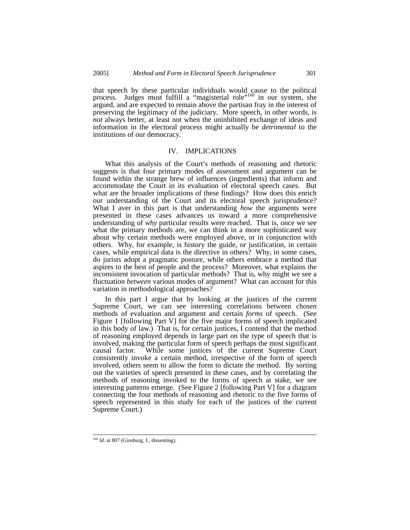that speech by these particular individuals would cause to the political process. Judges must fulfill a "magisterial role"<sup>160</sup> in our system, she argued, and are expected to remain above the partisan fray in the interest of preserving the legitimacy of the judiciary. More speech, in other words, is *not* always better, at least not when the uninhibited exchange of ideas and information in the electoral process might actually be *detrimental* to the institutions of our democracy.

# IV. IMPLICATIONS

What this analysis of the Court's methods of reasoning and rhetoric suggests is that four primary modes of assessment and argument can be found within the strange brew of influences (ingredients) that inform and accommodate the Court in its evaluation of electoral speech cases. But what are the broader implications of these findings? How does this enrich our understanding of the Court and its electoral speech jurisprudence? What I aver in this part is that understanding *how* the arguments were presented in these cases advances us toward a more comprehensive understanding of *why* particular results were reached. That is, once we see what the primary methods are, we can think in a more sophisticated way about why certain methods were employed above, or in conjunction with others. Why, for example, is history the guide, or justification, in certain cases, while empirical data is the directive in others? Why, in some cases, do jurists adopt a pragmatic posture, while others embrace a method that aspires to the best of people and the process? Moreover, what explains the inconsistent invocation of particular methods? That is, why might we see a fluctuation *between* various modes of argument? What can account for this variation in methodological approaches?

In this part I argue that by looking at the justices of the current Supreme Court, we can see interesting correlations between chosen methods of evaluation and argument and certain *forms* of speech. (See Figure 1 [following Part V] for the five major forms of speech implicated in this body of law.) That is, for certain justices, I contend that the method of reasoning employed depends in large part on the type of speech that is involved, making the particular form of speech perhaps the most significant causal factor. While some justices of the current Supreme Court consistently invoke a certain method, irrespective of the form of speech involved, others seem to allow the form to dictate the method. By sorting out the varieties of speech presented in these cases, and by correlating the methods of reasoning invoked to the forms of speech at stake, we see interesting patterns emerge. (See Figure 2 [following Part V] for a diagram connecting the four methods of reasoning and rhetoric to the five forms of speech represented in this study for each of the justices of the current Supreme Court.)

<sup>&</sup>lt;sup>160</sup> *Id.* at 807 (Ginsburg, J., dissenting).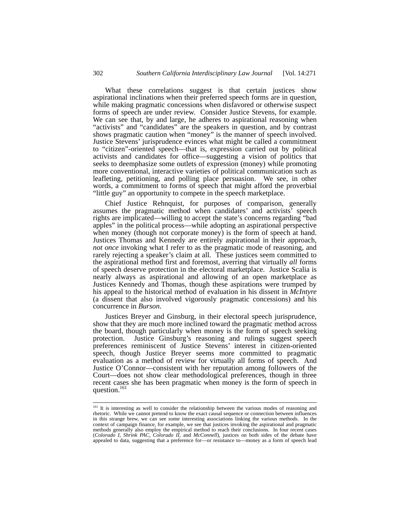What these correlations suggest is that certain justices show aspirational inclinations when their preferred speech forms are in question, while making pragmatic concessions when disfavored or otherwise suspect forms of speech are under review. Consider Justice Stevens, for example. We can see that, by and large, he adheres to aspirational reasoning when "activists" and "candidates" are the speakers in question, and by contrast shows pragmatic caution when "money" is the manner of speech involved. Justice Stevens' jurisprudence evinces what might be called a commitment to "citizen"-oriented speech—that is, expression carried out by political activists and candidates for office—suggesting a vision of politics that seeks to deemphasize some outlets of expression (money) while promoting more conventional, interactive varieties of political communication such as leafleting, petitioning, and polling place persuasion. We see, in other words, a commitment to forms of speech that might afford the proverbial "little guy" an opportunity to compete in the speech marketplace.

Chief Justice Rehnquist, for purposes of comparison, generally assumes the pragmatic method when candidates' and activists' speech rights are implicated—willing to accept the state's concerns regarding "bad apples" in the political process—while adopting an aspirational perspective when money (though not corporate money) is the form of speech at hand. Justices Thomas and Kennedy are entirely aspirational in their approach, *not once* invoking what I refer to as the pragmatic mode of reasoning, and rarely rejecting a speaker's claim at all. These justices seem committed to the aspirational method first and foremost, averring that virtually *all* forms of speech deserve protection in the electoral marketplace. Justice Scalia is nearly always as aspirational and allowing of an open marketplace as Justices Kennedy and Thomas, though these aspirations were trumped by his appeal to the historical method of evaluation in his dissent in *McIntyre* (a dissent that also involved vigorously pragmatic concessions) and his concurrence in *Burson*.

Justices Breyer and Ginsburg, in their electoral speech jurisprudence, show that they are much more inclined toward the pragmatic method across the board, though particularly when money is the form of speech seeking protection. Justice Ginsburg's reasoning and rulings suggest speech preferences reminiscent of Justice Stevens' interest in citizen-oriented speech, though Justice Breyer seems more committed to pragmatic evaluation as a method of review for virtually all forms of speech. And Justice O'Connor—consistent with her reputation among followers of the Court—does not show clear methodological preferences, though in three recent cases she has been pragmatic when money is the form of speech in question.<sup>161</sup>

<sup>&</sup>lt;sup>161</sup> It is interesting as well to consider the relationship between the various modes of reasoning and rhetoric. While we cannot pretend to know the exact causal sequence or connection between influences in this strange brew, we can see some interesting associations linking the various methods. In the context of campaign finance, for example, we see that justices invoking the aspirational and pragmatic methods generally also employ the empirical method to reach their conclusions. In four recent cases (*Colorado I*, *Shrink PAC*, *Colorado II*, and *McConnell*), justices on both sides of the debate have appealed to data, suggesting that a preference for—or resistance to—money as a form of speech lead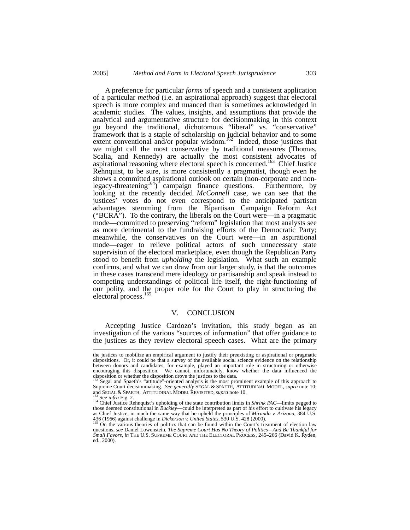A preference for particular *forms* of speech and a consistent application of a particular *method* (i.e. an aspirational approach) suggest that electoral speech is more complex and nuanced than is sometimes acknowledged in academic studies. The values, insights, and assumptions that provide the analytical and argumentative structure for decisionmaking in this context go beyond the traditional, dichotomous "liberal" vs. "conservative" framework that is a staple of scholarship on judicial behavior and to some extent conventional and/or popular wisdom.<sup>162</sup> Indeed, those justices that we might call the most conservative by traditional measures (Thomas, Scalia, and Kennedy) are actually the most consistent advocates of aspirational reasoning where electoral speech is concerned.<sup>163</sup> Chief Justice Rehnquist, to be sure, is more consistently a pragmatist, though even he shows a committed aspirational outlook on certain (non-corporate and nonlegacy-threatening<sup>164</sup>) campaign finance questions. Furthermore, by looking at the recently decided *McConnell* case, we can see that the justices' votes do not even correspond to the anticipated partisan advantages stemming from the Bipartisan Campaign Reform Act ("BCRA"). To the contrary, the liberals on the Court were—in a pragmatic mode—committed to preserving "reform" legislation that most analysts see as more detrimental to the fundraising efforts of the Democratic Party; meanwhile, the conservatives on the Court were—in an aspirational mode—eager to relieve political actors of such unnecessary state supervision of the electoral marketplace, even though the Republican Party stood to benefit from *upholding* the legislation. What such an example confirms, and what we can draw from our larger study, is that the outcomes in these cases transcend mere ideology or partisanship and speak instead to competing understandings of political life itself, the right-functioning of our polity, and the proper role for the Court to play in structuring the electoral process.<sup>165</sup>

#### V. CONCLUSION

Accepting Justice Cardozo's invitation, this study began as an investigation of the various "sources of information" that offer guidance to the justices as they review electoral speech cases. What are the primary

the justices to mobilize an empirical argument to justify their preexisting or aspirational or pragmatic dispositions. Or, it could be that a survey of the available social science evidence on the relationship between donors and candidates, for example, played an important role in structuring or otherwise encouraging this disposition. We cannot, unfortunately, know whether the data influenced the disposition or whether the disposition drove the justices to the data. 162 Segal and Spaeth's "attitude"-oriented analysis is the most prominent example of this approach to

Supreme Court decisionmaking. *See generally* SEGAL & SPAETH, ATTITUDINAL MODEL, *supra* note 10;<br>and SEGAL & SPAETH, ATTITUDINAL MODEL REVISITED, *supra* note 10.<br><sup>163</sup> See infra Eic. 2.

<sup>&</sup>lt;sup>163</sup> See *infra* Fig. 2.<br><sup>164</sup> Chief Justice Rehnquist's upholding of the state contribution limits in *Shrink PAC*—limits pegged to those deemed constitutional in *Buckley*—could be interpreted as part of his effort to cultivate his legacy as Chief Justice, in much the same way that he upheld the principles of *Miranda v. Arizona*, 384 U.S. 436 (1966) against challenge in *Dickerson v. United States*, 530 U.S. 428 (2000).<br><sup>165</sup> On the various theories of po

questions, *see* Daniel Lowenstein, *The Supreme Court Has No Theory of Politics—And Be Thankful for Small Favors*, *in* THE U.S. SUPREME COURT AND THE ELECTORAL PROCESS, 245–266 (David K. Ryden, ed., 2000).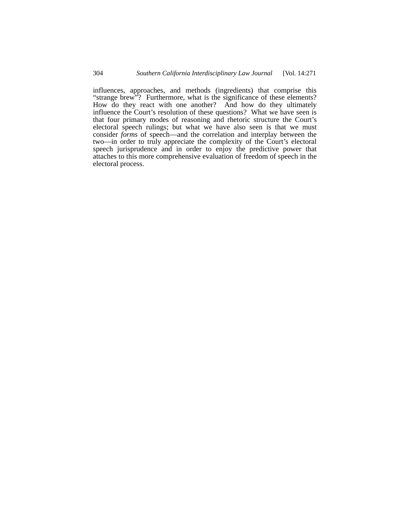influences, approaches, and methods (ingredients) that comprise this "strange brew"? Furthermore, what is the significance of these elements? How do they react with one another? And how do they ultimately influence the Court's resolution of these questions? What we have seen is that four primary modes of reasoning and rhetoric structure the Court's electoral speech rulings; but what we have also seen is that we must consider *forms* of speech—and the correlation and interplay between the two—in order to truly appreciate the complexity of the Court's electoral speech jurisprudence and in order to enjoy the predictive power that attaches to this more comprehensive evaluation of freedom of speech in the electoral process.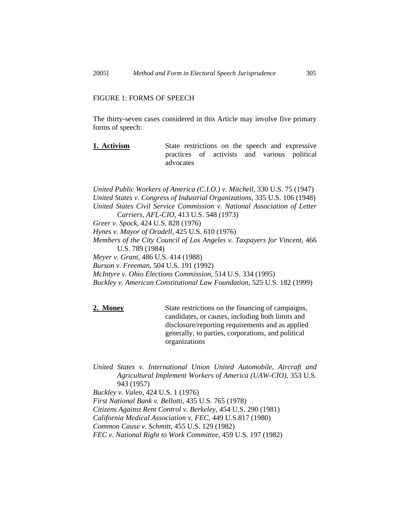# FIGURE 1: FORMS OF SPEECH

The thirty-seven cases considered in this Article may involve five primary forms of speech:

**1. Activism** State restrictions on the speech and expressive practices of activists and various political advocates

*United Public Workers of America (C.I.O.) v. Mitchell*, 330 U.S. 75 (1947) *United States v. Congress of Industrial Organizations*, 335 U.S. 106 (1948) *United States Civil Service Commission v. National Association of Letter Carriers, AFL-CIO*, 413 U.S. 548 (1973) *Greer v. Spock*, 424 U.S. 828 (1976) *Hynes v. Mayor of Oradell*, 425 U.S. 610 (1976) *Members of the City Council of Los Angeles v. Taxpayers for Vincent*, 466 U.S. 789 (1984) *Meyer v. Grant*, 486 U.S. 414 (1988) *Burson v. Freeman*, 504 U.S. 191 (1992) *McIntyre v. Ohio Elections Commission*, 514 U.S. 334 (1995) *Buckley v. American Constitutional Law Foundation*, 525 U.S. 182 (1999)

**2. Money** State restrictions on the financing of campaigns, candidates, or causes, including both limits and disclosure/reporting requirements and as applied generally, to parties, corporations, and political organizations

*United States v. International Union United Automobile, Aircraft and Agricultural Implement Workers of America (UAW-CIO)*, 353 U.S. 943 (1957) *Buckley v. Valeo*, 424 U.S. 1 (1976) *First National Bank v. Bellotti*, 435 U.S. 765 (1978) *Citizens Against Rent Control v. Berkeley*, 454 U.S. 290 (1981) *California Medical Association v. FEC*, 449 U.S.817 (1980) *Common Cause v. Schmitt*, 455 U.S. 129 (1982) *FEC v. National Right to Work Committee*, 459 U.S. 197 (1982)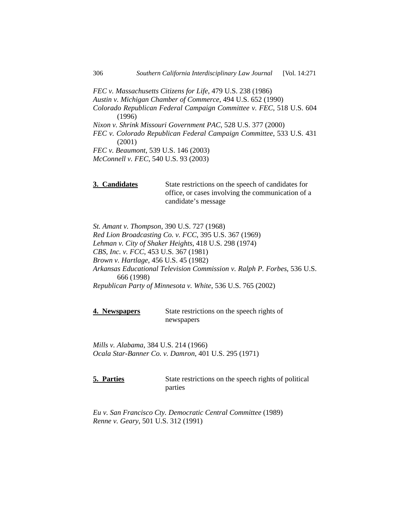*FEC v. Massachusetts Citizens for Life*, 479 U.S. 238 (1986) *Austin v. Michigan Chamber of Commerce*, 494 U.S. 652 (1990) *Colorado Republican Federal Campaign Committee v. FEC*, 518 U.S. 604 (1996) *Nixon v. Shrink Missouri Government PAC*, 528 U.S. 377 (2000) *FEC v. Colorado Republican Federal Campaign Committee*, 533 U.S. 431 (2001) *FEC v. Beaumont*, 539 U.S. 146 (2003) *McConnell v. FEC*, 540 U.S. 93 (2003)

**3. Candidates** State restrictions on the speech of candidates for office, or cases involving the communication of a candidate's message

*St. Amant v. Thompson*, 390 U.S. 727 (1968) *Red Lion Broadcasting Co. v. FCC*, 395 U.S. 367 (1969) *Lehman v. City of Shaker Heights*, 418 U.S. 298 (1974) *CBS, Inc. v. FCC*, 453 U.S. 367 (1981) *Brown v. Hartlage*, 456 U.S. 45 (1982) *Arkansas Educational Television Commission v. Ralph P. Forbes*, 536 U.S. 666 (1998) *Republican Party of Minnesota v. White*, 536 U.S. 765 (2002)

**4. Newspapers** State restrictions on the speech rights of newspapers

*Mills v. Alabama*, 384 U.S. 214 (1966) *Ocala Star-Banner Co. v. Damron*, 401 U.S. 295 (1971)

**5. Parties** State restrictions on the speech rights of political parties

*Eu v. San Francisco Cty. Democratic Central Committee* (1989) *Renne v. Geary*, 501 U.S. 312 (1991)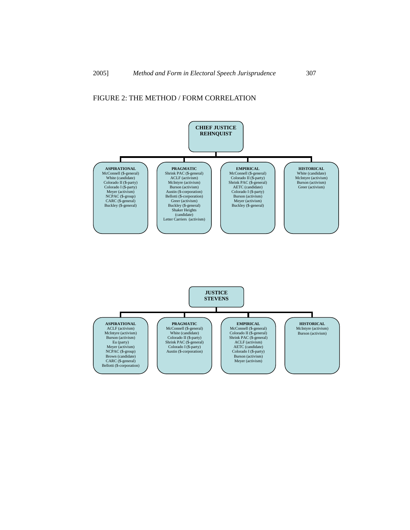# FIGURE 2: THE METHOD / FORM CORRELATION

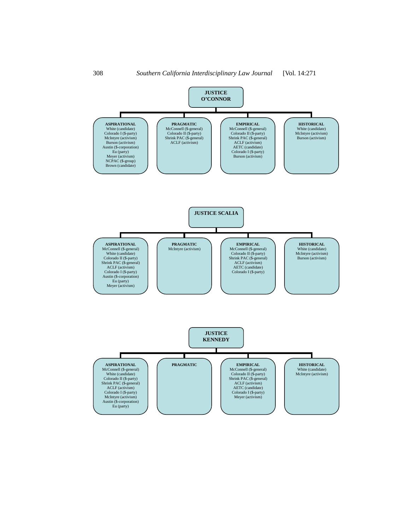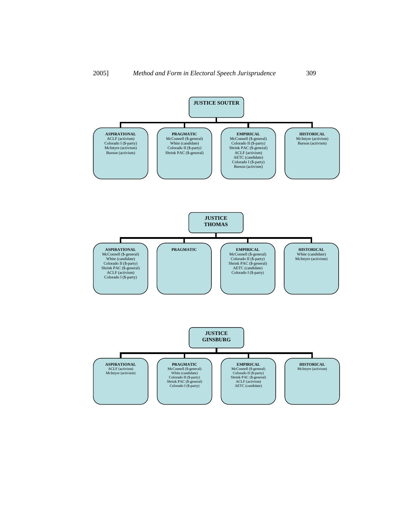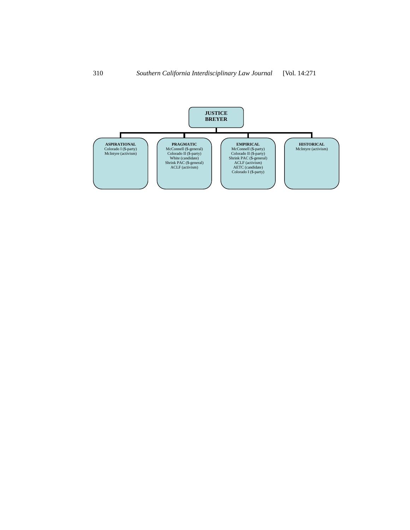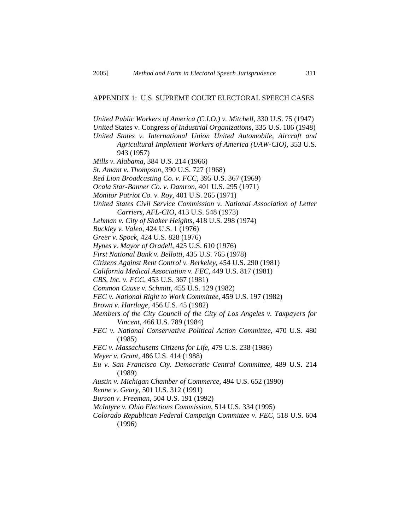# APPENDIX 1: U.S. SUPREME COURT ELECTORAL SPEECH CASES

*United Public Workers of America (C.I.O.) v. Mitchell*, 330 U.S. 75 (1947)

*United* States v. Congress *of Industrial Organizations*, 335 U.S. 106 (1948)

*United States v. International Union United Automobile, Aircraft and Agricultural Implement Workers of America (UAW-CIO)*, 353 U.S. 943 (1957)

*Mills v. Alabama*, 384 U.S. 214 (1966)

*St. Amant v. Thompson*, 390 U.S. 727 (1968)

*Red Lion Broadcasting Co. v. FCC*, 395 U.S. 367 (1969)

*Ocala Star-Banner Co. v. Damron*, 401 U.S. 295 (1971)

*Monitor Patriot Co. v. Roy*, 401 U.S. 265 (1971)

*United States Civil Service Commission v. National Association of Letter Carriers, AFL-CIO*, 413 U.S. 548 (1973)

*Lehman v. City of Shaker Heights*, 418 U.S. 298 (1974)

*Buckley v. Valeo*, 424 U.S. 1 (1976)

*Greer v. Spock*, 424 U.S. 828 (1976)

*Hynes v. Mayor of Oradell*, 425 U.S. 610 (1976)

*First National Bank v. Bellotti*, 435 U.S. 765 (1978)

*Citizens Against Rent Control v. Berkeley*, 454 U.S. 290 (1981)

*California Medical Association v. FEC*, 449 U.S. 817 (1981)

*CBS, Inc. v. FCC*, 453 U.S. 367 (1981)

*Common Cause v. Schmitt*, 455 U.S. 129 (1982)

*FEC v. National Right to Work Committee*, 459 U.S. 197 (1982)

*Brown v. Hartlage*, 456 U.S. 45 (1982)

*Members of the City Council of the City of Los Angeles v. Taxpayers for Vincent*, 466 U.S. 789 (1984)

*FEC v. National Conservative Political Action Committee*, 470 U.S. 480 (1985)

*FEC v. Massachusetts Citizens for Life*, 479 U.S. 238 (1986)

*Meyer v. Grant*, 486 U.S. 414 (1988)

*Eu v. San Francisco Cty. Democratic Central Committee*, 489 U.S. 214 (1989)

*Austin v. Michigan Chamber of Commerce*, 494 U.S. 652 (1990)

*Renne v. Geary*, 501 U.S. 312 (1991)

*Burson v. Freeman*, 504 U.S. 191 (1992)

*McIntyre v. Ohio Elections Commission*, 514 U.S. 334 (1995)

*Colorado Republican Federal Campaign Committee v. FEC*, 518 U.S. 604 (1996)